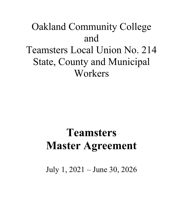# Oakland Community College and Teamsters Local Union No. 214 State, County and Municipal Workers

# **Teamsters Master Agreement**

July 1, 2021 – June 30, 2026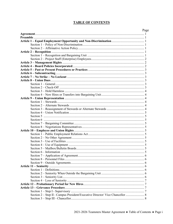# **TABLE OF CONTENTS**

|                                                                               | Page |
|-------------------------------------------------------------------------------|------|
|                                                                               |      |
|                                                                               |      |
|                                                                               |      |
|                                                                               |      |
|                                                                               |      |
|                                                                               |      |
|                                                                               |      |
|                                                                               |      |
|                                                                               |      |
|                                                                               |      |
|                                                                               |      |
|                                                                               |      |
|                                                                               |      |
|                                                                               |      |
|                                                                               |      |
|                                                                               |      |
|                                                                               |      |
|                                                                               |      |
|                                                                               |      |
|                                                                               |      |
|                                                                               |      |
|                                                                               |      |
|                                                                               |      |
|                                                                               |      |
|                                                                               |      |
|                                                                               |      |
|                                                                               |      |
|                                                                               |      |
|                                                                               |      |
|                                                                               |      |
|                                                                               |      |
|                                                                               |      |
|                                                                               |      |
|                                                                               |      |
|                                                                               |      |
|                                                                               |      |
|                                                                               |      |
|                                                                               |      |
|                                                                               |      |
|                                                                               |      |
|                                                                               |      |
|                                                                               |      |
|                                                                               |      |
|                                                                               |      |
|                                                                               |      |
|                                                                               |      |
| Section 2 - Step II - Campus President/Executive Director/ Vice Chancellor  8 |      |
|                                                                               |      |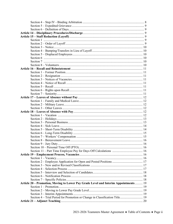| Article 20 - Promotion, Moving to Lower Pay Grade Level and Interim Appointments 19 |  |
|-------------------------------------------------------------------------------------|--|
|                                                                                     |  |
|                                                                                     |  |
|                                                                                     |  |
| Section 4 – Trial Period for Promotion or Change in Classification Title 19         |  |
|                                                                                     |  |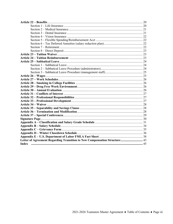| Letter of Agreement Regarding Transition to New Compensation Structure 43 |  |  |  |  |  |
|---------------------------------------------------------------------------|--|--|--|--|--|
|                                                                           |  |  |  |  |  |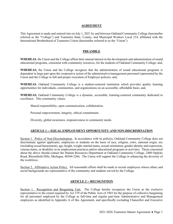# **AGREEMENT**

This Agreement is made and entered into on July 1, 2021 by and between Oakland Community College (hereinafter referred as the "College") and Teamsters State, County, and Municipal Workers Local 214, affiliated with the International Brotherhood of Teamsters Union (hereinafter referred to as the "Union").

#### **PREAMBLE**

**WHEREAS**, the Union and the College affirm their mutual interest in the development and administration of sound educational programs, consistent with community resources, for the students of Oakland Community College; and,

**WHEREAS,** the Union and the College recognize that the administration of sound educational programs is dependent in large part upon the cooperative action of the administrative/management personnel represented by the Union and the College in full and proper execution of Employer policies; and,

**WHEREAS**, Oakland Community College is a student-centered institution which provides quality learning opportunities for individuals, communities, and organizations on an accessible, affordable basis; and,

**WHEREAS,** Oakland Community College is a dynamic, accessible, learning-centered community dedicated to excellence. This community values:

Shared responsibility, open communication, collaboration;

Personal empowerment, integrity, ethical commitment;

Diversity, global awareness, responsiveness to community needs.

# **ARTICLE 1 -- EQUAL EMPLOYMENT OPPORTUNITY AND NON-DISCRIMINATION**

Section 1. Policy of Non-Discrimination. In accordance with its policies, Oakland Community College does not discriminate against applicants, employees or students on the basis of race, religion, color, national origin, sex (including sexual harassment), age, height, weight, marital status, sexual orientation, gender identity and expression, veteran status, or disability in its employment practices and/or educational programs or activities. Those concerned about the above should contact the Human Resources Department at Oakland Community College, 2480 Opdyke Road, Bloomfield Hills, Michigan, 48304-2266. The Union will support the College in enhancing the diversity of the workforce.

Section 2. Affirmative Action Policy. All reasonable efforts shall be made to recruit employees whose ethnic and social backgrounds are representative of the community and students served by the College.

#### **ARTICLE 2 -- RECOGNITION**

Section 1. Recognition and Bargaining Unit. The College hereby recognizes the Union as the exclusive representative to the extent required by Act 379 of the Public Acts of 1965 for the purpose of collective bargaining for all personnel employed by the College as full-time and regular part-time Administrative and Management employees as identified in Appendix A of this Agreement, and specifically excluding Chancellor and Executive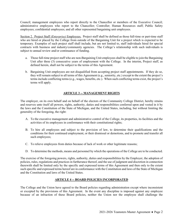Council; management employees who report directly to the Chancellor or members of the Executive Council; administrative employees who report to the Chancellor; Controller; Human Resources staff; Public Safety employees; confidential employees; and all other represented bargaining unit employees.

Section 2. Project Staff *(Enterprise)* Employees. Project staff shall be defined as those full-time or part-time staff who are hired or placed by the College from outside of the Bargaining Unit for a project which is expected to be temporary. Examples of such project staff shall include, but are not limited to, staff individuals hired for special contracts with business and industry/community agencies. The College's relationship with such individuals is subject to annual review and/or continuance of funding.

- a. Those full-time project staff who are non-Bargaining Unit employees shall be eligible to join the Bargaining Unit after three (3) consecutive years of employment with the College. In the interim, Project staff, as defined herein, shall not be subject to the terms of this Agreement.
- b. Bargaining Unit employees are not disqualified from accepting project staff appointments. If they do so, they will remain subject to all terms of this Agreement (e.g., seniority, etc.) except to the extent the project's terms include conflicting terms (e.g., wages, benefits, etc.). When such conflicting terms exist, the project's terms will apply.

# **ARTICLE 3 -- MANAGEMENT RIGHTS**

The employer, on its own behalf and on behalf of the electors of the Community College District, hereby retains and reserves unto itself all powers, rights, authority, duties and responsibilities conferred upon and vested in it by the laws and the Constitution of the State of Michigan, and the United States, including, but without limiting the generality of the foregoing, the right:

- A. To the executive management and administrative control of the College, its properties, its facilities and the activities of its employees in conformance with their constitutional rights;
- B. To hire all employees and subject to the provision of law, to determine their qualifications and the conditions for their continued employment, or their dismissal or demotions, and to promote and transfer all such employees;
- C. To relieve employees from duties because of lack of work or other legitimate reasons;
- D. To determine the methods, means and personnel by which the operations of the College are to be conducted.

The exercise of the foregoing powers, rights, authority, duties and responsibilities by the Employer, the adoption of policies, rules, regulations and practices in furtherance thereof, and the use of judgment and discretion in connection therewith shall be limited only by the specific and expressed terms of this Agreement and then only to the extent such specific and expressed terms hereof are in conformance with the Constitution and laws of the State of Michigan and the Constitution and laws of the United States.

# **ARTICLE 4 -- BOARD POLICIES INCORPORATED**

The College and the Union have agreed to the Board policies regarding administration except where inconsistent or excepted by the provisions of this Agreement. In the event any discipline is imposed against any employee because of an infraction of these Board policies, neither the Union nor the employee shall challenge the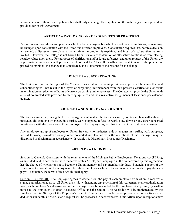reasonableness of these Board policies, but shall only challenge their application through the grievance procedure provided for in this Agreement.

#### **ARTICLE 5 -- PAST OR PRESENT PROCEDURES OR PRACTICES**

Past or present procedures and practices which affect employees but which are not covered in this Agreement may be changed upon consultation with the Union and affected employees. Consultation requires that, before a decision is reached, a discussion take place, at which time the problem is explained and input of a substantive nature is invited. However, the College is not barred from previous consideration of alternative solutions or from placing relative values upon them. For purposes of clarification and/or future reference, and upon request of the Union, the appropriate administrator will provide the Union and the Chancellor's office with a statement of the practice or procedure involved, the change that is instituted, and a statement of the reasons for the change.

#### **ARTICLE 6 -- SUBCONTRACTING**

The Union recognizes the right of the College to subcontract bargaining unit work, provided however that said subcontracting will not result in the layoff of bargaining unit members from their present classifications, or result in termination or reduction of hours of current bargaining unit employees. The College will provide the Union with a list of contracted staff provided by staffing agencies and their respective assignments at least once per calendar quarter.

#### **ARTICLE 7 -- NO STRIKE – NO LOCKOUT**

The Union agrees that, during the life of this Agreement, neither the Union, its agent, nor its members will authorize, instigate, aid, condone or engage in a strike, work stoppage, refusal to work, slow-down or any other concerted interference with the operations of the Employer. The Employer agrees that it will not lock out the employees.

Any employee, group of employees or Union Steward who instigates, aids or engages in a strike, work stoppage, refusal to work, slow-down or any other concerted interference with the operations of the Employer may be disciplined or discharged in accordance with Article 14, Disciplinary Procedures/Discharge.

# **ARTICLE 8 -- UNION DUES**

Section 1. General. Consistent with the requirements of the Michigan Public Employment Relations Act (PERA), as amended, and in accordance with the terms of this Article, each employee in the unit covered by this Agreement has the choice of whether or not to become a Union member and pay membership dues. Financial support of the Union is not a condition of employment. For those employees who are Union members and wish to pay dues via payroll deduction, the terms of this Article shall apply.

Section 2. Check-Off. The Employer agrees to deduct from the pay of each employee from whom it receives a signed authorization to do so, all Union dues. Notwithstanding any provision of this Agreement or any authorization form, each employee's authorization to the Employer may be rescinded by the employee at any time, by written notice to the Employer's Human Resources Office and the Union. The rescission will be implemented by the Employer within 30 days of the Employer's receipt of the notice. Should the employee wish to reactivate dues deductions under this Article, such a request will be processed in accordance with this Article upon receipt of a new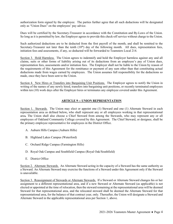authorization form signed by the employee. The parties further agree that all such deductions will be designated only as "Union Dues" on the employees' pay advice.

Dues will be certified by the Secretary-Treasurer in accordance with the Constitution and By-Laws of the Union. So long as it is permitted by law, the Employer agrees to provide this check-off service without charge to the Union.

Such authorized deductions are to be deducted from the first payroll of the month, and shall be remitted to the Secretary-Treasurer not later than the tenth  $(10<sup>th</sup>)$  day of the following month. All dues, representation fees, initiation fees and assessments, if any, so deducted will be forwarded to Teamsters Local 214.

Section 3. Hold Harmless. The Union agrees to indemnify and hold the Employer harmless against any and all claims, suits or other forms of liability arising out of its deductions from an employee's pay of Union dues, representation fees, assessments and/or initiation fees. The Employer shall not be liable to the Union by reason of the requirements of this Agreement for the remittance or payment of any sum other than that constituting actual deductions made from wages earned by employees. The Union assumes full responsibility for the deductions so made, once they have been sent to the Union.

Section 4. New Hires or Transfers into Bargaining Unit Positions. The Employer agrees to notify the Union in writing of the names of any newly hired, transfers into bargaining unit positions, or recently terminated employees within ten (10) work days after the Employer hires or terminates any employee covered under this Agreement.

#### **ARTICLE 9 -- UNION REPRESENTATION**

Section 1. Stewards. The Union may elect or appoint one (1) Steward and one (1) Alternate Steward in each representation area as defined below*,* who shall represent any or all employees working in that representational area*.* The Union shall also choose a Chief Steward from among the Stewards, who may represent any or all employees of Oakland Community College covered by this Agreement. The Chief Steward, or designee, shall be the primary employee representative for employees in the District Office.

- A. Auburn Hills Campus (Auburn Hills)
- B. Highland Lakes Campus (Waterford)
- C. Orchard Ridge Campus (Farmington Hills)
- D. Royal Oak Campus and Southfield Campus (Royal Oak/Southfield)
- E. District Office

Section 2. Alternate Stewards. An Alternate Steward acting in the capacity of a Steward has the same authority as a Steward. An Alternate Steward may exercise the functions of a Steward under this Agreement only if the Steward is unavailable.

Section 3. Reassignment of Stewards or Alternate Stewards. If a Steward or Alternate Steward changes his or her assignment to a different representational area, and if a new Steward or Alternate Steward (as applicable) is not elected or appointed at the time of relocation, then the steward remaining at the representational area will be deemed Steward for that representational area, and the relocated steward shall be deemed the Alternate Steward for that representational area, for the balance of that contract year, only. Thereafter, the Union will designate a Steward and Alternate Steward in the applicable representational area per Section 1, above.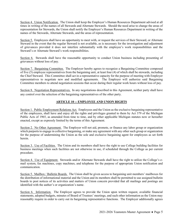Section 4. Union Notification. The Union shall keep the Employer's Human Resources Department advised at all times in writing of the names of all Stewards and Alternate Stewards. Should the need arise to change the areas of representation for Stewards, the Union shall notify the Employer's Human Resources Department in writing of the names of the Stewards, Alternate Stewards, and the areas of representation.

Section 5. Employees shall have an opportunity to meet with, or request the services of their Steward, or Alternate Steward in the event that the regular Steward is not available, as is necessary for the investigation and adjustment of grievances provided it does not interfere substantially with the employee's work responsibilities and the Steward's or Alternate Steward's work responsibilities.

Section 6. Stewards shall have the reasonable opportunity to conduct Union business including presenting of grievances without loss of pay.

Section 7. Bargaining Committee. The Employer hereby agrees to recognize a Bargaining Committee composed of five (5) employee representatives from the bargaining unit, at least four (4) of which shall be stewards, including the Chief Steward. This Committee shall act in a representative capacity for the purpose of meeting with Employer representatives to negotiate new and modified agreements. The Employer will authorize said Bargaining Committee members to attend negotiation sessions that occur during their regular work hours without loss of pay.

Section 8. Negotiation Representatives. In any negotiations described in this Agreement, neither party shall have any control over the selection of the bargaining representatives of the other party.

# **ARTICLE 10 -- EMPLOYEE AND UNION RIGHTS**

Section 1. Public Employment Relations Act. Employees and the Union as the exclusive bargaining representative of the employees, shall have and enjoy all the rights and privileges granted to them by Act 379 of the Michigan Public Acts of 1965, as amended from time to time, and by other applicable Michigan statutes now or hereafter enacted, except as expressly limited by the terms of this Agreement.

Section 2. No Other Agreement. The Employer will not aid, promote, or finance any labor group or organization which purports to engage in collective bargaining, or make any agreement with any other such group or organization for the purpose of undermining the Union as the sole and exclusive bargaining agent for employees as set forth herein.

Section 3. Use of Facilities. The Union and its members shall have the right to use College building facilities for business meetings when such facilities are not otherwise in use, if scheduled through the College as per current procedure.

Section 4. Use of Equipment. Stewards and/or Alternate Stewards shall have the right to utilize the College's email system, fax machines, copy machines, and telephone for the purpose of appropriate Union notification and communication.

Section 5. Mailbox / Bulletin Boards. The Union shall be given access to bargaining unit members' mailboxes for the distribution of informational material and the Union and its members shall be permitted to use assigned bulletin boards to post notices of its activities and matters of Union concern provided that all mailings and postings are identified with the author's or organization's name.

Section 6. Information. The Employer agrees to provide the Union upon written request, available financial statements, adopted budgets, minutes of Board of Trustees' meetings, and such other information as the Union may reasonably require in order to carry out its bargaining representative functions. The Employer additionally agrees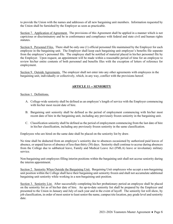to provide the Union with the names and addresses of all new bargaining unit members. Information requested by the Union shall be furnished by the Employer as soon as practicable.

Section 7. Application of Agreement. The provisions of this Agreement shall be applied in a manner which is not capricious or discriminatory and be in conformance and compliance with federal and state civil and human rights statutes.

Section 8. Personnel Files. There shall be only one (1) official personnel file maintained by the Employer for each employee in the bargaining unit. The Employer shall keep each bargaining unit employee's benefits file separate from the employee's personnel file. The employee shall be notified of material placed in his/her personnel file by the Employer. Upon request, an appointment will be made within a reasonable period of time for an employee to review his/her entire contents of both personnel and benefits files with the exception of letters of reference for employment.

Section 9. Outside Agreements. The employer shall not enter into any other agreements with employees in the bargaining unit, individually or collectively, which, in any way, conflict with the provisions hereof.

# **ARTICLE 11 -- SENIORITY**

#### Section 1. Definitions.

- A. College-wide seniority shall be defined as an employee's length of service with the Employer commencing with his/her most recent date of hire.
- B. Bargaining unit seniority shall be defined as the period of employment commencing with his/her most recent date of hire in the bargaining unit, including any previously frozen seniority in the bargaining unit.
- C. Classification seniority shall be defined as the period of employment commencing from the last date of hire in his/her classification, including any previously frozen seniority in the same classification.

Employees who are hired on the same date shall be placed on the seniority list by draw.

No time shall be deducted from an employee's seniority due to absences occasioned by authorized paid leaves of absence, or unpaid leaves of absence of less than thirty (30) days. Seniority shall continue to accrue during absences from the College due to sabbatical leave, Family and Medical Leave Act (FMLA) leave or involuntary military service.

Non-bargaining unit employees filling interim positions within the bargaining unit shall not accrue seniority during the interim appointment.

Section 2. Seniority When Outside the Bargaining Unit. Bargaining Unit employees who accept a non-bargaining unit position within the College shall have their bargaining unit seniority frozen and shall not accumulate additional bargaining unit seniority while working in a non-bargaining unit position.

Section 3. Seniority List. After successfully completing his/her probationary period an employee shall be placed on the seniority list as of his/her date of hire. An up-to-date seniority list shall be prepared by the Employer and presented to the Union in January and July of each year and in the event of layoff. The seniority list will show, by job classification, in order of most senior to least senior the name, campus/site location, pay grade level and seniority date.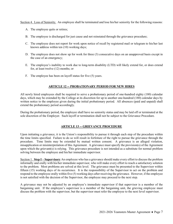Section 4. Loss of Seniority. An employee shall be terminated and lose his/her seniority for the following reasons:

- A. The employee quits or retires;
- B. The employee is discharged for just cause and not reinstated through the grievance procedure;
- C. The employee does not report for work upon notice of recall by registered mail or telegram to his/her last known address within ten  $(10)$  working days;
- D. The employee does not show up for work for three (3) consecutive days on an unapproved basis except in the case of an emergency;
- E. The employee's inability to work due to long-term disability (LTD) will likely extend for, or does extend for, at least twelve (12) months; or
- F. The employee has been on layoff status for five (5) years.

#### **ARTICLE 12 -- PROBATIONARY PERIOD FOR NEW HIRES**

All newly hired employees shall be required to serve a probationary period of one-hundred eighty (180) calendar days, which may be extended by the College at its discretion for up to another one-hundred (180) calendar days by written notice to the employee given during the initial probationary period. All absences (paid and unpaid) shall extend the probationary period accordingly.

During the probationary period, the employee shall have no seniority status and may be laid off or terminated at the sole discretion of the Employer. Such layoff or termination shall not be subject to the Grievance Procedure.

#### **ARTICLE 13 -- GRIEVANCE PROCEDURE**

Upon initiating a grievance, it is the Union's responsibility to pursue it through each step of the procedure within the time limits specified. Failure to do so will result in forfeiture of the right to pursue the grievance through the procedure. Time limits may be extended by mutual written consent. A grievance is an alleged violation, misapplication or misinterpretation of this Agreement. A grievance must specify the provision(s) of the Agreement upon which the grievant(s) is relying. This grievance procedure is not intended as a substitute for normal problem solving between the employee and his/her immediate supervisor.

Section 1. **Step I – Supervisory** An employee who has a grievance should make every effort to discuss the problem informally and orally with his/her immediate supervisor, who will make every effort to reach a satisfactory solution to the problem. Most problems are solved at this level. The grievance must be presented to the Supervisor within fifteen (15) working days of its occurrence. It is the responsibility of the Supervisor to act on the problem and respond to the employee orally within five (5) working days after receiving the grievance. However, if the employee is not satisfied with the decision of the Supervisor, the employee may proceed to the next step.

A grievance may not be adjusted by an employee's immediate supervisor if that supervisor is a member of the bargaining unit. If the employee's supervisor is a member of the bargaining unit, the grieving employee must discuss the problem with the supervisor, but the supervisor must refer the employee to the next level supervisor.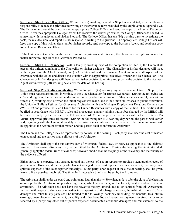Section 2. **Step II – College Officer** Within five (5) working days after Step I is completed, it is the Union's responsibility to reduce the grievance to writing on the grievance form provided by the employer (see Appendix C). The Union must present the grievance to the appropriate College Officer and send one copy to the Human Resources Office. After the appropriate College Officer has received the written grievance, the College Officer shall schedule a meeting with the grievant and his/her Steward. The College Officer has ten (10) working days to investigate the facts, make a decision, and report his/her response in writing to the grievant. The appropriate College Officer will keep one copy of this written decision for his/her records, send one copy to the Business Agent, and send one copy to the Human Resources Office.

If the Union is not satisfied with the outcome of the grievance at this step, the Union has the right to pursue the matter further to Step III of the Grievance Procedure.

Section 3. **Step III – Chancellor** Within ten (10) working days of the completion of Step II, the Union shall present the written complaint to the Chancellor or his/her designee. The Chancellor or his/her designee will meet with the grievant, the Chief Steward, one (1) Area Steward, and the Business Agent and review all aspects of the grievance with the Union and discuss the situation with the appropriate Executive Director or Vice Chancellor. The Chancellor or his/her designee will then reduce his/her decision to writing and provide the decision to the Business Agent within twenty (20) working days after the date of the hearing.

Section 4. **Step IV - Binding Arbitration** Within forty-five (45) working days after the completion of Step III, the Union must request arbitration, in writing, to the Vice Chancellor for Human Resources. During the following ten (10) working days, the parties will endeavor to mutually select an arbitrator. If they are unsuccessful, then within fifteen (15) working days of when the initial request was made, and if the Union still wishes to pursue arbitration, the Union will file a Petition for Grievance Arbitration with the Michigan Employment Relations Commission ("MERC") and provide the Vice Chancellor for Human Resources with a copy of the Petition. The Petition shall be filed in accordance with MERC's rules and procedures, and any administrative fees charged by the MERC will be shared equally by the parties. The Petition shall ask MERC to provide the parties with a list of fifteen (15) MERC-approved grievance arbitrators. During the following ten (10) working day period, the parties will confer and, beginning with the Union, alternately strike listed names until one name remains. The remaining name will be appointed the Arbitrator for that matter, and the parties shall so inform the Arbitrator.

The Union and the College may be represented by counsel at the hearing. Each party shall bear the cost of his/her own counsel and the parties shall split costs of the Arbitrator.

The Arbitrator shall apply the substantive law of Michigan, federal law, or both, as applicable to the claim(s) asserted. Pre-hearing discovery may be permitted by the Arbitrator. During the hearing the Arbitrator shall generally apply the federal rules of evidence; however, she/he shall be the judge of the relevancy and materiality of the evidence offered.

Either party, at its expense, may arrange for and pay the cost of a court reporter to provide a stenographic record of proceedings. However, if the party who has not arranged for a court reporter desires a transcript, that party must split the expenses of the court reporter/transcripts. Either party, upon request at the close of hearing, shall be given leave to file a post-hearing brief. The time for filing such a brief shall be set by the Arbitrator.

The Arbitrator shall render an award and opinion no later than thirty (30) calendar days after the close of the hearing or receipt by the Arbitrator of post-hearing briefs, whichever is later, in the form typically rendered in labor arbitration. The Arbitrator shall not have the power to modify, amend, add to, or subtract from this Agreement. Further, with respect to damages or remedies in a suspension or discharge grievance, the Arbitrator's award of any damages and relief to any party shall be limited to the following: back pay (including lost benefits) less interim earnings, unemployment, retirement, disability and other benefits, and severance payments received by or to be received by a party; any other out-of-pocket expense; documented economic damages; and reinstatement to the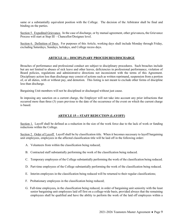same or a substantially equivalent position with the College. The decision of the Arbitrator shall be final and binding on the parties.

Section 5. Expedited Grievance. In the case of discharge, or by mutual agreement, other grievances*,* the Grievance Process will start at Step III – Chancellor/Designee level.

Section 6. Definition of Days. For purposes of this Article, working days shall include Monday through Friday, excluding Saturdays, Sundays, holidays, and College recess days.

# **ARTICLE 14 -- DISCIPLINARY PROCEDURES/DISCHARGE**

Breaches of performance and professional conduct are subject to disciplinary procedures. Such breaches include but are not limited to abuses of sick leave and other leaves, deficiencies in professional performance, violation of Board policies, regulations and administrative directions not inconsistent with the terms of this Agreement. Disciplinary action less than discharge may consist of actions such as written reprimand, suspension from a portion of, or all duties, with or without pay, and demotion. This listing is not meant to exclude other forms of discipline less than discharge.

Bargaining Unit members will not be disciplined or discharged without just cause.

In imposing any sanction on a current charge, the Employer will not take into account any prior infractions that occurred more than three (3) years previous to the date of the occurrence of the event on which the current charge is based.

# **ARTICLE 15 -- STAFF REDUCTION (LAYOFF)**

Section 1. Layoff shall be defined as a reduction in the size of the work force due to the lack of work or funding reductions within the College.

Section 2. Order of Layoff. Layoff shall be by classification title. When it becomes necessary to layoff bargaining unit employees, employees in the affected classification title will be laid off in the following order**:**

- A. Volunteers from within the classification being reduced;
- B. Contracted staff substantially performing the work of the classification being reduced.
- C. Temporary employees of the College substantially performing the work of the classification being reduced.
- D. Part-time employees of the College substantially performing the work of the classification being reduced.
- E. Interim employees in the classification being reduced will be returned to their regular classifications;
- F. Probationary employees in the classification being reduced;
- G. Full-time employees*,* in the classification being reduced, in order of bargaining unit seniority with the least senior bargaining unit employees laid off first on a college-wide basis, provided always that the remaining employees shall be qualified and have the ability to perform the work of the laid off employees within a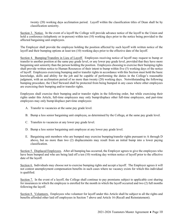twenty (20) working days acclimation period. Layoff within the classification titles of Dean shall be by classification seniority.

Section 3. Notice. In the event of a layoff the College will provide advance notice of the layoff to the Union and hold a conference (telephonic or in-person) within ten (10) working days prior to the notice being provided to the affected bargaining unit employees.

The Employer shall provide the employee holding the position affected by such layoff with written notice of the layoff and their bumping options at least ten (10) working days prior to the effective date of the layoff.

Section 4. Bumping/Transfers in Lieu of Layoff. Employees receiving notice of layoff may request to bump or transfer to another position at the same pay grade level, or any lower pay grade level, provided that they have more bargaining unit seniority than the person holding the position. Employees choosing to exercise their bumping rights shall provide written notice to Human Resources of their intent to bump within five (5) working days of the notice of layoff. Employees exercising bumping and/or transfer rights in accordance with this Section must hold the basic knowledge, skills and ability for the job and be capable of performing the duties in the College's reasonable judgment, with an acclimation period of no more than twenty (20) working days. Notwithstanding the following bumping procedure, the Chief Steward shall be protected from being bumped in any cases where other employees are exercising their bumping and/or transfer rights.

Employees shall exercise their bumping and/or transfer rights in the following order, but while exercising their rights under this Article, full-time employees may only bump/displace other full-time employees, and part-time employees may only bump/displace part-time employees:

- A. Transfer to vacancies at the same pay grade level.
- B. Bump a less senior bargaining unit employee*,* as determined by the College*,* at the same pay grade level.
- C. Transfers to vacancies at any lower pay grade level.
- D. Bump a less senior bargaining unit employee at any lower pay grade level.
- E. Bargaining unit members who are bumped may exercise bumping/transfer rights pursuant to A through D above*,* but no more than two (2) displacements may result from an initial bump into a lower paying classification.

Section 5. Displaced Employees. After all bumping has occurred, the Employer agrees to give the employees who have been bumped and who are being laid off a ten (10) working day written notice of layoff prior to the effective date of the layoff.

Section 6. Individuals may choose not to exercise bumping rights and accept a layoff. The Employer agrees it will not contest unemployment compensation benefits in such cases where no vacancy exists for which this individual is qualified.

Section 7. In the event of a layoff, the College shall continue to pay premiums subject to applicable cost sharing for insurances in which the employee is enrolled for the month in which the layoff occurred and two (2) full months following the layoff.

Section 8. Volunteers. Employees who volunteer for layoff under this Article shall be subject to all the rights and benefits afforded other laid off employees in Section 7 above and Article 16 (Recall and Reinstatement).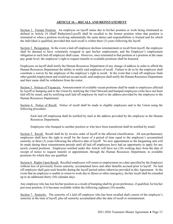#### **ARTICLE 16 -- RECALL AND REINSTATEMENT**

Section 1. Former Position. An employee on layoff status due to his/her position or work being eliminated as defined in Article 16 (Staff Reduction/Layoff) shall be recalled to the former position when that position is reinstated or when a position involving substantially the same duties and responsibilities is formed and for which the individual is qualified, provided that such recall is within three (3) years following the layoff.

Section 2. Resignation. In the event a laid off employee declines reinstatement or recall from layoff, the employee shall be deemed to have voluntarily resigned or quit his/her employment, and the Employer's employment obligation to such laid off employee shall cease. However, once reinstated in that position or a position at the same pay grade level, the employee's right to request transfer to available positions shall be honored.

Employees on layoff shall notify the Human Resources Department of any change of address in order to afford the Human Resources Department the ability to notify said employee of recall. Failure to do so by the employee shall constitute a waiver by the employee of the employee's right to recall. In the event that a laid off employee finds other gainful employment and would not accept recall, said employee shall notify the Human Resources Department and their name shall be withdrawn from the roster.

Section 3. Notices of Vacancies. Announcement of available vacant positions shall be made to employees affected by layoff or bumping and to the Union by notifying the Chief Steward and bumped employees (who have not been laid off) by email, and by notifying each laid off employee by mail to the address provided by the employee to the Human Resources Department.

Section 4. Notice of Recall. Notice of recall shall be made to eligible employees and to the Union using the following procedure:

Each laid off employees shall be notified by mail at the address provided by the employee to the Human Resources Department*.*

Employees who bumped to another position or who have been transferred shall be notified by email.

Section 5. Recall. Recall shall be by inverse order of layoff in the affected classification. All non-probationary employees shall have the right to recall for the lesser of a period of time equal to the employee's accumulated seniority or three (3) years following the effective date of layoff. No new appointment to the bargaining unit will be made during these reinstatement periods until all laid off employees have had an opportunity to apply for any newly created positions. Employees notified under this Article will have ten (10) working days from the date of receipt of notice to request transfer or appointment, through the Human Resources Department, to available positions for which they are qualified.

Section 6. Rights Upon Recall. Recalled employees will return to employment on a date specified by the Employer without loss of previously frozen seniority, accumulated leave and other benefits accrued prior to layoff. No laid off employee shall gain such benefits during the layoff period unless otherwise provided in this Agreement. In the event that an employee is unable to return to work due to illness or other emergency, his/her recall shall be extended up to an additional thirty (30) calendar days.

Any employee who has lost his/her position as a result of bumping shall be given preference, if qualified, for his/her previous position, if it becomes available within the following eighteen (18) months.

Section 7. Seniority. The seniority of a laid off employee who has been recalled shall consist of the employee's seniority at the time of layoff, plus all seniority accumulated after the date of recall or reinstatement.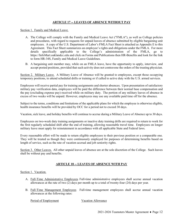# **ARTICLE 17 -- LEAVES OF ABSENCE WITHOUT PAY**

Section 1. Family and Medical Leave.

- A. The College will comply with the Family and Medical Leave Act ("FMLA"), as well as College policies and procedures, with regard to requests for unpaid leaves of absence submitted by eligible bargaining unit employees. A copy of the U.S. Department of Labor's FMLA Fact Sheet is attached as Appendix E to this Agreement. This Fact Sheet summarizes an employee's rights and obligations under the FMLA. For more details specifically applicable to the College's administration of the FMLA, go to https://InfoMart.oaklandcc.edu and click on Forms and Publications then HR-Benefits and look for the link to form HR-34S, Family and Medical Leave Guidelines.
- B. A bargaining unit member may, while on an FMLA leave, have the opportunity to apply, interview, and accept posted positions, provided that such activity does not contravene the orders of the treating physician.

Section 2. Military Leave. A Military Leave of Absence will be granted to employees, except those occupying temporary positions, to attend scheduled drills or training or if called to active duty with the U.S. armed services.

Employees will receive partial pay for training assignments and shorter absences. Upon presentation of satisfactory military pay verification data, employees will be paid the difference between their normal base compensation and the pay (excluding expense pay) received while on military duty. The portion of any military leaves of absence in excess of two weeks will be unpaid. However, employees may use any available paid time off for the absence.

Subject to the terms, conditions and limitations of the applicable plans for which the employee is otherwise eligible, health insurance benefits will be provided by OCC for a period not to exceed 30 days.

Vacation, sick leave, and holiday benefits will continue to accrue during a Military Leave of Absence up to 30 days.

Employees on two-week duty training assignments or inactive duty training drills are required to return to work for the first regularly scheduled shift after the end of training, allowing reasonable travel time. Employees on longer military leave must apply for reinstatement in accordance with all applicable State and Federal laws.

Every reasonable effort will be made to return eligible employees to their previous position or a comparable one. They will be treated as though they were continuously employed for purposes of determining benefits based on length of service, such as the rate of vacation accrual and job seniority rights.

Section 3. Other Leaves. All other unpaid leaves of absence are at the sole discretion of the College. Such leaves shall be without pay and benefits.

# **ARTICLE 18 -- LEAVES OF ABSENCE WITH PAY**

#### Section 1. Vacation.

- A. Full-Time Administrative Employees Full-time administrative employees shall accrue annual vacation allowances at the rate of two (2) days per month up to a total of twenty-four (24) days per year.
- B. Full-Time Management Employees Full-time management employees shall accrue annual vacation allowances at the following rates:

Period of Employment Vacation Allowance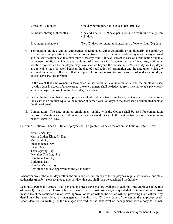| 0 through 12 months         | One day per month, not to exceed ten (10) days                                  |
|-----------------------------|---------------------------------------------------------------------------------|
| 12 months through 60 months | One and a half $(1-1/2)$ days per month to a maximum of eighteen<br>$(18)$ days |
| 61st month and above        | Two $(2)$ days per month to a maximum of twenty-four $(24)$ days                |

C. Termination. In the event that employment is terminated, either voluntarily or involuntarily, the employee shall receive compensation in cash at their respective current per diem base salary/pay rates for any accrued and unused vacation days to a maximum of twenty-four (24) days, except in case of a termination due to a permanent layoff, in which case a maximum of thirty-six (36) days may be cashed out. Any additional vacation days which the employee may have accrued beyond the twenty-four (24) or thirty-six (36) days, as applicable, must be taken between the date of notification of termination and the date upon which the termination becomes effective. If it is impossible for any reason to take or use all of said vacation days, unused days shall be forfeited.

In the event that employment is terminated, either voluntarily or involuntarily, and the employee used vacation days in excess of those earned, the overpayment shall be deducted from the employee's pay checks at the employee's current contractual salary/pay rates.

- D. Death. In the event that a unit employee should die while actively employed, the College shall compensate the estate in an amount equal to the number of earned vacation days in the deceased's accumulated bank at the time of death.
- E. Computation. The date of initial employment or hire with the College shall be used for computation purposes. Vacation accrued but not taken may be carried forward to the next contract period to a maximum of forty-eight (48) days.

Section 2. Holidays. Each full-time employee shall be granted holiday time off on the holidays listed below:

New Year's Day Martin Luther King, Jr., Day Memorial Day Independence Day Labor Day Thanksgiving Day Day after Thanksgiving Christmas Eve Day Christmas Day New Year's Eve Day Any other holidays approved by the Chancellor.

Whenever any of these holidays fall on the sixth and/or seventh day of the employees' regular work week, and state authorities transfer its observance to another day, that day shall then be considered the holiday.

Section 3. Personal Business. Paid personal business leave shall be available to each full-time employee at the rate of three (3) days per year. Personal business leave shall, in most instances, be requested of the immediate supervisor in advance of the requested day of leave, approval of which will not be denied without providing justification. Any denial may be reconsidered by management if within two (2) work days of the denial the employee seeks reconsideration, in writing, by the manager involved, or the next level of management, with a copy to Human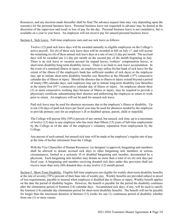Resources, and any decision made thereafter shall be final The advance request time may vary depending upon the reason(s) for the personal business leave. Personal business leave not requested in advance may be denied at the discretion of the supervisor and result in loss of pay for the day. Personal business leave is not cumulative, but is available on a year to year basis. An employee will not receive pay for unused personal business leave.

Section 4. Sick Leave. Full-time employees earn and use sick leave as follows:

Twelve (12) paid sick leave days will be awarded annually to eligible employees on the College's active payroll. Six  $(6)$  of these sick leave days will be awarded in full on July 1<sup>st</sup>, and will accrue the remaining six (6) of these annual sick leave days at a rate of one (1) day per month. The accrued days will be awarded one (1) day per month on the second pay of the month beginning in July. There is no sick leave or vacation accrual for unpaid leaves, workers' compensation leaves, or short-term disability/long-term disability leaves. There is no limit to sick leave accumulation. In the event of a sustained illness or injury, an employee may utilize his/her bank of sick leave for the extent of the illness (if the employee's bank has sufficient number of sick days) or the employee may opt to initiate short-term disability benefits (see Benefits) at the fifteenth (15<sup>th</sup>) consecutive calendar day of illness or injury. Should the absence due to illness or injury extend beyond a period of ninety (90) calendar days, said employee may opt to initiate long-term disability (see Benefits) at the ninety-first  $(91<sup>st</sup>)$  consecutive calendar day of illness or injury. An employee absent three (3) or more consecutive working days because of illness or injury, may be required to provide a physician's certificate substantiating their absence and authorizing the employee to return to work prior to return. An employee will not be paid for unused sick leave.

Paid sick leave may be used for absences necessary due to the employee's illness or disability. Up to ten (10) days of paid sick leave per fiscal year may be used for absences needed by the employee to provide primary care for an employee's ill or disabled spouse, parent, child or stepchild.

The College will payout fifty (50%) percent of any earned, but unused, sick time, up to a maximum of twelve (12) days to any employee who has more than fifteen (15) years of full-time employment by the College as of the date of the employee's voluntary separation from employment by the College.

Any payout of such earned, but unused sick time will be made at the employee's regular rate of pay at the time of his/her retirement from the College.

With the Vice Chancellor of Human Resources' (or designee's) approval, bargaining unit members shall be allowed to donate accrued sick days to other bargaining unit members in serious circumstances, limited to a seriously ill or disabled bargaining unit member, documented by a physician. Each bargaining unit member may donate no more than a total of six (6) sick days per fiscal year. A bargaining unit member receiving donated sick days under this provision shall not receive more than sixty (60) donated days in any twelve (12) month period.

Section 5. Short-Term Disability. Eligible full-time employees are eligible for weekly short-term disability benefits at the rate of seventy (70%) percent of their base rate of weekly pay. Weekly benefits are provided subject to proof of loss requirements, payable to insured when employee is disabled due to illness or injury. Weekly benefit applies on the date the period of disability begins. However, the benefit is payable for the period the disability continues after the elimination period of fourteen (14) calendar days. Accumulated sick days, if any, will be used to satisfy the fourteen (14) calendar day elimination period for short-term disability benefits. The benefit will not be payable for longer than the maximum duration of thirteen (13) weeks for one (1) continuous period of disability whether from one (1) or more causes.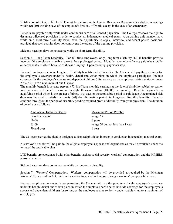Notification of intent to file for STD must be received in the Human Resources Department (verbal or in writing) within ten (10) working days of the employee's first day off work, except in the case of an emergency.

Benefits are payable only while under continuous care of a licensed physician. The College reserves the right to designate a licensed physician in order to conduct an independent medical exam. A bargaining unit member may, while on a short-term disability leave, have the opportunity to apply, interview, and accept posted positions, provided that such activity does not contravene the orders of the treating physician.

Sick and vacation days do not accrue while on short-term disability.

Section 6. Long-Term Disability. For full-time employees, only, long-term disability (LTD) benefits provide income if the employee is unable to work for a prolonged period. Monthly income benefits are paid when totally or permanently disabled because of illness or injury. Upon recovery, payments stop.

For each employee receiving long term disability benefits under this article, the College will pay the premiums for the employee's coverage under its health, dental and vision plans in which the employee participates (include coverage for the employee's spouse and dependent children) for so long as the employee retains seniority under Article 4, up to a maximum of one (1) year.

The monthly benefit is seventy percent (70%) of base monthly earnings at the date of disability subject to carrier maximum (current benefit maximum is eight thousand dollars [\$8,000] per month). Benefits begin after a qualifying period which is the greater of ninety (90) days or the applicable period of paid leave. Accumulated sick days may be used to satisfy the ninety (90) day elimination period for long-term disability benefits. Benefits continue throughout the period of disability pending required proof of disability from your physician. The duration of benefits is as follows:

| Age When Disability Begins | Maximum Period Payable             |
|----------------------------|------------------------------------|
| Less than age 60           | to age $65$                        |
| 60-64                      | 5 years                            |
| 65-69                      | to age 70 but not less than 1 year |
| 70 and over                | l year                             |

The College reserves the right to designate a licensed physician in order to conduct an independent medical exam.

A survivor's benefit will be paid to the eligible employee's spouse and dependents as may be available under the terms of the applicable plan.

LTD benefits are coordinated with other benefits such as social security, workers' compensation and the MPSERS pension benefits.

Sick and vacation days do not accrue while on long-term disability.

Section 7. Workers' Compensation. Workers' compensation will be provided as required by the Michigan Workers' Compensation Act. Sick and vacation time shall not accrue during a workers' compensation leave.

For each employee on worker's compensation, the College will pay the premiums for the employee's coverage under its health, dental and vision plans in which the employee participates (include coverage for the employee's spouse and dependent children) for so long as the employee retains seniority under Article 4, up to a maximum of one (1) year.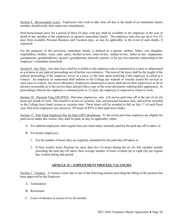Section 8. Bereavement Leave. Employees who wish to take time off due to the death of an immediate family member should notify their supervisor immediately.

Paid bereavement leave for a period of three (3) days with pay shall be available to the employee in the case of death of any member of the employee's or spouse's immediate family. The employee may also use up to five (5) days from available Personal Business and Vacation days, as may be applicable, in the event of such deaths, if requested.

For the purposes of this provision, immediate family is defined as a spouse, mother, father, son, daughter, stepchildren, brother, sister, aunt, uncle, brother-in-law, sister-in-law, mother-in-law, father-in-law, stepparents, grandparents, grandchild(ren), spouse's grandparents, domestic partner, or by any loco parentis relationship in the employee's immediate household.

Section 9. Jury Duty. Jury duty leave shall be available to the employee who is summoned as a juror or subpoenaed as a witness in any judicial proceeding not of his/her own initiative. The term of the leave shall be the length of the judicial proceedings if the employee serves as a juror, or the time spent testifying if the employee is called as a witness. An employee so summoned shall endorse to the College any warrant or voucher issued for services as such juror or witness, less travel allowance Employees summoned as jurors shall advise their supervisors as far in advance as possible as to the service dates and provide a copy of the court documents ordering their appearance. In proceedings wherein the employee is released prior to 12 noon, the employee is expected to return to work.

Section 10. Personal Time Off (PTO). Part-time employees, only, will accrue paid time off at the rate of six (6) hours per month of work. This benefit is in lieu of vacation, sick, and personal business time, and will be recorded in the College leave bank system as vacation time. These hours will be awarded in full on July  $1<sup>st</sup>$  of each fiscal year. Part-time employees can carryover 192 hours of PTO in their paid leave banks.

Section 11. Part-Time Employee Pay for Days-Off Calculations. To the extent part-time employee are eligible for paid leaves under this Article, they shall be paid, as may be applicable, either:

- A. For salaried employees, their regular base pro-rated salary normally paid for the paid day-off is taken: or
- B. For hourly employees,
	- 1. For the number of hours they are regularly scheduled for the paid day-off taken, or
	- 2. If their weekly hours fluctuate by more than five (5) hours during the six (6) full calendar months preceding the paid day-off taken, their average number of hours worked (up to eight (8)) per regular day worked during that period.

# **ARTICLE 19 -- EMPLOYMENT PROCESS, VACANCIES**

Section 1. Vacancy. A vacancy exists due to one of the following reasons providing the filling of the position has been approved by the Employer:

- A. Termination
- B. Retirement
- C. Leave of absence in excess of six (6) months.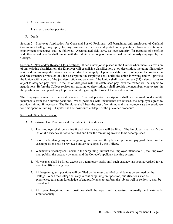- D. A new position is created.
- E. Transfer to another position.
- F. Death

Section 2. Employee Application for Open and Posted Positions. All bargaining unit employees of Oakland Community College may apply for any position that is open and posted for application. Normal institutional employment procedures shall be followed. Accumulated sick leave, College seniority (for purposes of benefits) and other earned benefits shall remain with the individual as long as the individual is continuously employed by the College.

Section 3. New and/or Revised Classifications. When a new job is placed in the Unit or when there is a revision of any existing classification, the Employer will establish a classification, a job description, including illustrative tasks and minimum qualifications, and a rate structure to apply. Upon the establishment of any such classification and rate structure or revision of a job description, the Employer shall notify the union in writing and will provide the Union with a copy of the job description and pay rate. The Union shall have fourteen (14) calendar days to object to assigned pay level. If the Union disagrees with the established pay level the matter will be subject to negotiations. Before the College revises any existing job description, it shall provide the incumbent employee(s) in the position with an opportunity to provide input regarding the terms of the new description.

The Employer agrees that the establishment of revised position descriptions shall not be used to disqualify incumbents from their current positions. When positions with incumbents are revised, the Employer agrees to provide training, if necessary. The Employer shall bear the cost of retraining and shall compensate the employee for time spent in training. Disputes shall be positioned at Step 2 of the grievance procedure.

#### Section 4. Selection Process.

- A. Advertising Unit Positions and Recruitment of Candidates:
	- 1. The Employer shall determine if and when a vacancy will be filled. The Employer shall notify the Union if a vacancy is not to be filled and how the remaining work is to be accomplished.
	- 2. Prior to advertising any new bargaining unit position, the job description and pay grade level for the vacant position shall be reviewed and/or developed by the College.
	- 3. Whenever a vacancy shall occur in the bargaining unit that the Employer intends to fill, the Employer shall publish the vacancy by email and the College's applicant tracking system.
	- 4. No vacancy shall be filled, except on a temporary basis, until such vacancy has been advertised for at least ten (10) working days.
	- 5. All bargaining unit positions will be filled by the most qualified candidate as determined by the College. When the College fills any vacant bargaining unit position, qualifications such as experience, education, knowledge of and proficiency to perform the job, as well as seniority, shall be considered.
	- 6. All open bargaining unit positions shall be open and advertised internally and externally simultaneously.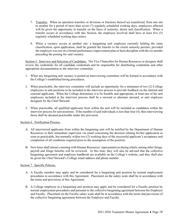- 7. Transfers When an operation transfers or divisions or fractions thereof are transferred, from one site to another for a period of more than seven (7) regularly scheduled working days, employees affected will be given the opportunity to transfer on the basis of seniority, desire and classification. When a transfer occurs in accordance with this Section, the employee involved shall have at least five (5) regularly scheduled working days notice.
- 8. When a vacancy occurs at another site, a bargaining unit employee currently holding the same classification, upon application, shall be granted the transfer to the extent seniority permits, provided the employee was not on a formal performance improvement plan or been discipline with the six months preceding the posting for said vacancy.

Section 5. Interview and Selection of Candidates. The Vice Chancellor for Human Resources or designee shall review the credentials for all candidate credentials and be responsible for distributing credentials and other appropriate documentation to the interview committee.

- 1. When any bargaining unit vacancy is posted an interviewing committee will be formed in accordance with the College's established hiring procedures.
- 2. When practicable, the interview committee will include an opportunity for a minimum of two (2) College employees in unit positions to be included in the interview process to provide feedback on the internal and external applicants. When the College determines it to be feasible and appropriate, at least one of the unit employees included in the interview process shall be a steward or alternate steward, or unit employee designate by the Chief Steward.
- 3. When practicable, all qualified applicants from within the unit will be included as candidates within the interview process for unit positions. If the number of said individuals is less than four (4), then interviewing those shall be deemed practicable under this provision.

# Section 6. Notification Process.

- A. All interviewed applicants from within the bargaining unit will be notified by the Department of Human Resources or their immediate supervisor via email concerning the decision relating his/her application as soon as practicable, but normally within two (2) working days of the successful applicant's acceptance and completion of all conditions required prior to the assumption of the position.
- B. New hires shall attend a meeting with Human Resources' representatives during which, among other things, payroll and fringe benefits will be reviewed. At this time, they will also be advised that the collective bargaining agreement and employee handbook are available on the College's website, and they shall also be given the Chief Steward's College email address and phone number.

#### Section 7. Specific Policies.

- A. A Faculty member may apply and be considered for a bargaining unit position by normal employment procedures in accordance with this Agreement. Placement on the salary scale shall be in accordance with the terms and provisions of this Agreement.
- B. A College employee in a bargaining unit position may apply and be considered for a Faculty position by normal employment procedures and pursuant to the collective bargaining agreement between the Employer and Faculty. Placement on the Faculty salary scale shall be in accordance with the terms and provisions of the collective bargaining agreement between the Employer and Faculty.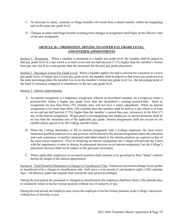- C. No decrease in salary, seniority or fringe benefits will result from a lateral transfer within the bargaining unit in the same pay grade level.
- D. Changes in salary and fringe benefits resulting from changes in assignment shall begin on the effective date of the new assignment.

# **ARTICLE 20 -- PROMOTION, MOVING TO LOWER PAY GRADE LEVEL, AND INTERIM APPOINTMENTS**

Section 1. Promotion. When a member is promoted to a higher pay grade level, the member shall be placed in that pay grade level at a rate which is at least seven and one-half percent (7.5%) higher than the member's former base pay rate, but in no event greater than the maximum for the new pay grade placement.

Section 2. Moving to Lower Pay Grade Level. When a member applies for and is selected for a position in a lower pay grade level*,* or bumps into a lower pay grade level, the member shall be placed in that lower pay grade level at the same percentage place the member was at on the member's former pay grade level (i.e., the percentage point of the band of minimum compared to maximum) on the new pay grade level*.*

#### Section 3. Interim Appointments.

- A. An interim assignment is a temporary assignment wherein an incumbent assumes, on a temporary basis, a position/title within a higher pay grade level than the incumbent's existing position/title. Such an assignment for less than thirty (30) calendar days will not have a salary adjustment. When an interim assignment is for more than thirty (30) calendar days the member shall be paid at a rate which is at least seven and one-half percent (7.5%) higher than the member's current base pay, retroactive to the first  $(1<sup>st</sup>)$ day of the interim assignment. Wages paid to non-bargaining unit employees in interim positions shall be no less than the minimum rate of the applicable pay grade. Interim assignments shall not exceed six (6) months unless agreed to by the College and the Union.
- B. When the College determines to fill an interim assignment with a College employee, the most senior interested qualified employee in a unit position will be placed in the interim assignment unless the education and work experience of another interested individual related to the interim position are superior to that of the most senior employee. Prior to finalizing an interim assignment, the College will provide the Union with the opportunity to meet to discuss its placement decision on an interim assignment, but the College's placement decision shall not be subject to the grievance procedure.
- C. Where applicable, **e**mployees in an interim position shall continue to be governed by their "home" contract during the length of the interim appointment.

Section 4. Trial Period for Promotion or Change in Classification Title. Employees promoted (change in pay grade) or transferred with a change in classification title, shall serve a trial period of one-hundred eighty (180) calendar days. All absences (paid and unpaid) shall extend the trial period accordingly.

During the trial period the promoted or changed in classification title employee shall have thirty (30) calendar days to voluntarily return to his/her former position without loss of seniority or pay.

During the trial period, the Employer may return the employee to his/her former position, at the College's discretion, without loss of seniority or pay.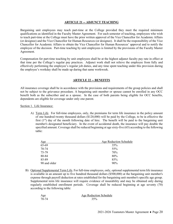#### **ARTICLE 21 -- ADJUNCT TEACHING**

Bargaining unit employees may teach part-time at the College provided they meet the required minimum qualifications as identified in the Faculty Master Agreement. For each semester of teaching, employees who wish to teach part-time at the College must have the prior written approval of the Vice Chancellor for Academic Affairs (or designee) and the Vice Chancellor for Human Resources (or designee). It shall be the responsibility of the Vice Chancellor for Academic Affairs to obtain the Vice Chancellor for Human Resources' approval and to notify the employee of the decision.Part-time teaching by unit employees is limited by the provisions of the Faculty Master Agreement.

Compensation for part-time teaching by unit employees shall be at the highest adjunct faculty pay rate in effect at that time per the College's regular pay practices. Adjunct work shall not relieve the employee from fully and effectively performing the employee's regular job duties, and any time spent teaching under this provision during the employee's workday shall be made up during that same workweek.

#### **ARTICLE 22 -- BENEFITS**

All insurance coverage shall be in accordance with the provisions and requirements of the group policies and shall not be subject to the grievance procedure. A bargaining unit member or spouse cannot be enrolled in any OCC benefit both as the subscriber and as a spouse. In the case of both parents being eligible for OCC benefits, dependents are eligible for coverage under only one parent.

Section 1. Life Insurance:

A) Term Life. For full-time employees, only, the premiums for term life insurance in the policy amount of one hundred twenty thousand dollars (\$120,000) will be paid by the College, to be is effective the first  $(1<sup>st</sup>)$  day of the month following date of hire. The benefit will be paid to the bargaining unit member's designated beneficiary. In the event of accidental death, the insurance will pay double the specified amount. Coverage shall be reduced beginning at age sixty-five (65) according to the following table:

| Age Reduction Schedule |
|------------------------|
| 35%                    |
| 55%                    |
| 70%                    |
| 80%                    |
| 85%                    |
| 90%                    |
|                        |

B) Optional Supplemental Term Life. For full-time employees, only, optional supplemental term life insurance is available in an amount up to five hundred thousand dollars (\$500,000) at the bargaining unit member's expense through payroll deduction at rates established for the bargaining unit member's specific age group. Supplemental term life insurance will require evidence of insurability and may be obtained only during regularly established enrollment periods. Coverage shall be reduced beginning at age seventy (70) according to the following table:

| Age   | Age Reduction Schedule |
|-------|------------------------|
| 70-74 | 35%                    |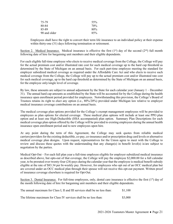| 75-79        | 55% |
|--------------|-----|
| 80-84        | 70% |
| 85-89        | 80% |
| 90 and older | 85% |

Employees shall have the right to convert their term life insurance to an individual policy at their expense within thirty-one (31) days following termination or retirement.

Section 2. Medical Insurance. Medical insurance is effective the first  $(1<sup>st</sup>)$  day of the second  $(2<sup>nd</sup>)$  full month following date of hire for bargaining unit members and their eligible dependents.

For each eligible full-time employee who elects to receive medical coverage from the College, the College will pay for the actual premium cost and/or illustrated rate cost for such medical coverage up to the hard cap threshold as determined by the State of Michigan on an annual basis. For each part-time employee meeting the standard for employer subsidized medical coverage as required under the Affordable Care Act and who elects to receive such medical coverage from the College, the College will pay up to the actual premium cost and/or illustrated rate cost for such medical coverage, up to the hard cap threshold as determined by the State of Michigan on an annual basis, for the employee only/single level of coverage.

By law, these amounts are subject to annual adjustment by the State for each calendar year (January 1 – December 31). The annual hard cap amounts as established by the State will be accounted for by the College during the health insurance open enrollment period provided for employees. Notwithstanding this provision, the College's Board of Trustees retains its right to elect any option (i.e., 80%/20%) provided under Michigan law relative to employer medical insurance coverage contributions on an annual basis.

The medical coverage plan options provided for the College's exempt management employees will be provided to employees as plan options for elected coverage.These medical plan options will include at least one PPO plan option and at least one High-Deductible (HSA accompanied) plan option.Summary Plan Descriptions for each medical coverage plan option offered by the College will be provided to existing employees during the annual health insurance open enrollment period and to new employees upon hire.

At any point during the term of this Agreement, the College may seek quotes from reliable medical carriers/providers for the existing deductible, co-pay, co-insurance and/or prescription drug card levels or alternative medical coverage plan designs. Upon request, representatives for the Union agree to meet with the College to review and discuss these quotes with the understanding that any change(s) in benefit level(s) is/are subject to negotiation by the parties.

Medical Opt-Out – For each full plan year a full-time employee eligible for employer subsidized medical insurance as described above, but opts-out of that coverage, the College will pay the employee \$2,000.00 for a full calendar year, to be prorated over twenty-four (24) pays during the calendar year that the employee is medical benefit subsidy eligible at the rate of \$83.34 per bi-weekly pay. However, for employees who opt out of an OCC medical plan but are covered under an OCC medical plan through their spouse will not receive this opt-out payment. Written proof of insurance coverage elsewhere is required for Opt-Out.

Section 3. Dental Insurance. For full-time employees, only, dental care insurance is effective the first  $(1<sup>st</sup>)$  day of the month following date of hire for bargaining unit members and their eligible dependents.

| The annual maximum for Class I, II and III services shall be no less than:                                                     |  |  |  |  | \$1,100                             |
|--------------------------------------------------------------------------------------------------------------------------------|--|--|--|--|-------------------------------------|
|                                                                                                                                |  |  |  |  |                                     |
| $\mathbf{r}$ , and $\mathbf{r}$ , and $\mathbf{r}$ , and $\mathbf{r}$ , and $\mathbf{r}$ , and $\mathbf{r}$ , and $\mathbf{r}$ |  |  |  |  | $\triangle$ $\triangle$ $\triangle$ |

The lifetime maximum for Class IV services shall be no less than: \$3,000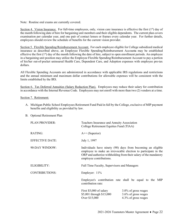Note: Routine oral exams are currently covered.

Section 4. Vision Insurance. For full-time employees, only, vision care insurance is effective the first  $(1<sup>st</sup>)$  day of the month following date of hire for bargaining unit members and their eligible dependents. The current plan covers examination per calendar year, and one pair of contact lenses or frames every calendar year. For further details, employees should review the schedule of benefits for the current vision provider.

Section 5. Flexible Spending/Reimbursement Account. For each employee eligible for College subsidized medical insurance as described above, an Employee Flexible Spending/Reimbursement Accounts may be established effective the first  $(1<sup>st</sup>)$  day of the month following the date of hire, subject to open enrollment periods. An employee in a bargaining unit position may utilize the Employee Flexible Spending/Reimbursement Account to pay a portion of his/her out-of-pocket uninsured Health Care, Dependent Care, and Adoption expenses with employee pre-tax dollars.

All Flexible Spending Accounts are administered in accordance with applicable IRS regulations and restrictions and the annual minimum and maximum dollar contributions for allowable expenses will be consistent with the limits established by the IRS.

Section 6. Tax Deferred Annuities (Salary Reduction Plan). Employees may reduce their salary for contribution in accordance with the Internal Revenue Code. Employees may not enroll with more than two (2) vendors at a time.

#### Section 7. Retirement:

- A. Michigan Public School Employees Retirement Fund Paid in full by the College, exclusive of MIP payment benefits and eligibility as provided by law.
- B. Optional Retirement Plan

| <b>PLAN PROVIDER:</b>  | Teachers Insurance and Annuity Association<br>College Retirement Equities Fund (TIAA)                                                                                                                                        |                                                                      |  |  |
|------------------------|------------------------------------------------------------------------------------------------------------------------------------------------------------------------------------------------------------------------------|----------------------------------------------------------------------|--|--|
| <b>RATING:</b>         | $A++$ (Superior)                                                                                                                                                                                                             |                                                                      |  |  |
| <b>EFFECTIVE DATE:</b> | July 1, 1997                                                                                                                                                                                                                 |                                                                      |  |  |
| 90-DAY WINDOW:         | Individuals have ninety (90) days from becoming an eligible<br>employee to make an irrevocable election to participate in the<br>ORP and authorize withholding from their salary of the mandatory<br>employee contributions. |                                                                      |  |  |
| ELIGIBILITY:           | Full Time Faculty, Supervisors and Managers                                                                                                                                                                                  |                                                                      |  |  |
| <b>CONTRIBUTIONS:</b>  | Employer: 11%                                                                                                                                                                                                                |                                                                      |  |  |
|                        | contribution rate:                                                                                                                                                                                                           | Employee's contribution rate shall be equal to the MIP               |  |  |
|                        | First \$5,000 of salary<br>\$5,001 through \$15,000<br>Over \$15,000                                                                                                                                                         | $3.0\%$ of gross wages<br>3.6% of gross wages<br>4.3% of gross wages |  |  |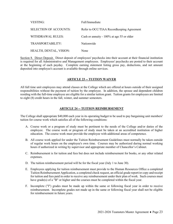| <b>VESTING:</b>               | Full/Immediate                               |
|-------------------------------|----------------------------------------------|
| <b>SELECTION OF ACCOUNTS:</b> | Refer to OCC/TIAA Recordkeeping Agreement    |
| WITHDRAWAL RULES:             | Cash or annuity - $100\%$ at age 55 or older |
| TRANSPORTABILITY:             | Nationwide                                   |
| HEALTH, DENTAL, VISION:       | None                                         |

Section 8. Direct Deposit. Direct deposit of employees' paychecks into their account at their financial institution is required for all Administrative and Management employees. Employees' paychecks are posted to their account at the beginning of each payday. Complete earning statement listing gross pay, deductions, and net amount deposited into employee's account is available through online services.

## **ARTICLE 23 -- TUITION WAIVER**

All full time unit employees may attend classes at the College which are offered at hours outside of their assigned responsibilities without the payment of tuition by the employee. In addition, the spouse and dependent children residing with the full-time employee are eligible for a similar tuition grant. Tuition grants for employees are limited to eight (8) credit hours in the fall, winter, and summer semesters.

#### **ARTICLE 24 -- TUITION REIMBURSEMENT**

The College shall appropriate \$40,000 each year in its operating budget to be used to pay bargaining unit members' tuition for course work which satisfies all of the following conditions:

- A. Course work or a program of study must be pertinent to the needs of the College and/or duties of the employee. The course work or program of study must be taken at an accredited institution of higher education. The course work must provide the employee with additional areas of competence.
- B. All course work applied for under the Tuition Reimbursement Guidelines must normally be taken outside of regular work hours on the employee's own time. Courses may be authorized during normal working hours if authorized in writing by supervisor and appropriate member of Chancellor's Cabinet.
- C. Reimbursement is for tuition and fees but does not include reimbursement for books, or any other related expenses.
- D. The tuition reimbursement period will be for the fiscal year (July 1 to June 30).
- E. Employees applying for tuition reimbursement must provide to the Human Resources Office a completed Tuition Reimbursement Application, a completed check request, an official grade report/or copy and receipt for tuition and fees paid in order to receive any reimbursement under their plan of work. Such courses must have grade(s) of a "B" or higher and the courses must be completed within the fiscal year.
- F. Incomplete ("I") grades must be made up within the same or following fiscal year in order to receive reimbursement. Incomplete grades not made up in the same or following fiscal year shall not be eligible for reimbursement in future years.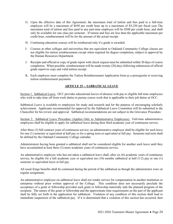- G. Upon the effective date of this Agreement, the maximum total of tuition and fees paid to a full-time employee will be a maximum of \$650 per credit hour up to a maximum of \$5,250 per fiscal year The maximum total of tuition and fees paid to any part-time employee will be \$500 per credit hour, and shall only be available for one class per semester. If tuition and fees are less than the applicable maximum per credit hour, reimbursement will be for the amount of the actual receipt.
- H. Continuing education courses will be reimbursed only if a grade is awarded.
- I. Courses at other colleges and universities that are equivalent to Oakland Community College classes are not eligible for tuition reimbursement except when required for degree completion, subject to approval by the Human Resources Department.
- J. Receipts and official/or copy of grade report with check request must be submitted within 30 days of course completion. When possible, reimbursement will be made twenty (20) days following submission of official grade report/or copy and valid tuition receipt.
- K. Each employee must complete the Tuition Reimbursement Application form as a prerequisite to receiving tuition reimbursement payments.

# **ARTICLE 25 -- SABBATICAL LEAVE**

Section 1. Sabbatical Leave. OCC provides educational leaves of absence with pay to eligible full-time employees who wish to take time off from work duties to pursue course work that is applicable to their job duties at OCC.

Sabbatical Leave is available to employees for study and research and for the purpose of encouraging scholarly achievement. Applicants recommended for approval by the Sabbatical Leave Committee will be submitted to the Chancellor for his review and approval. Sabbatical recommendations are not subject to the Grievance Procedure.

Section 2. Sabbatical Leave Procedure (Applies Only to Administrative Employees). Full-time administrative employees shall be eligible to apply for sabbatical leave during their third academic year of continuous service.

After three (3) full contract years of continuous service, an administrative employee shall be eligible for such leave for one (1) semester or equivalent at half pay or for a spring term or equivalent at full pay. Semester and term shall be defined by the Oakland Community College calendar.

Administrators having been granted a sabbatical shall not be considered eligible for another such leave until they have accumulated at least three (3) more academic years of continuous service.

An administrative employee who has not taken a sabbatical leave shall, after six (6) academic years of continuous service, be eligible for a full academic year or equivalent ten (10) months sabbatical at half (1/2) pay or one (1) semester or equivalent leave at full pay.

All usual fringe benefits shall be continued during the period of the sabbatical as though the administrator were on regular assignment.

An administrative employee on sabbatical leave shall not render service for compensation in another institution or enterprise without prior written approval of the College. This condition does not necessarily preclude the acceptance of a grant or fellowship provided such grant or fellowship materially aids the planned program of the recipient. The nature of the grant or fellowship and the approximate time requirements on the part of the applicant shall be fully set forth in the application for sabbatical. Violation of any condition of this section shall lead to immediate suspension of the sabbatical pay. If it is determined that a violation of this section has occurred, then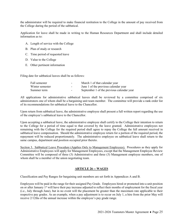the administrator will be required to make financial restitution to the College in the amount of pay received from the College during the period of the sabbatical.

Application for leave shall be made in writing to the Human Resources Department and shall include detailed information as to:

- A. Length of service with the College
- B. Plan of study or research
- C. Time period of requested leave
- D. Value to the College
- E. Other pertinent information

Filing date for sabbatical leaves shall be as follows:

| Fall semester   | $\sim$ | March 1 of that calendar year             |
|-----------------|--------|-------------------------------------------|
| Winter semester | $\sim$ | June 1 of the previous calendar year      |
| Summer term     | $\sim$ | September 1 of the previous calendar year |

All applications for administrative sabbatical leaves shall be reviewed by a committee comprised of six administrators one of whom shall be a bargaining unit team member. The committee will provide a rank order list of its recommendations for sabbatical leave to the Chancellor.

Upon return from sabbatical leave, the administrative employee shall present a full written report regarding the use of the employee's sabbatical leave to the Chancellor.

Upon accepting a sabbatical leave, the administrative employee shall certify to the College their intention to return to the College for a period of time equal to that covered by the leave granted. Administrative employees not remaining with the College for the required period shall agree to repay the College the full amount received in sabbatical leave compensation. Should the administrative employee return for a portion of the required period, the repayment will be reduced proportionately. The administrative employee on sabbatical leave shall return to the same campus, department and position occupied prior thereto.

Section 3. Sabbatical Leave Procedure (Applies Only to Management Employees). Procedures as they apply for Administrative Employees will apply for Management Employees, except that the Management Employee Review Committee will be composed of three (3) Administrative and three (3) Management employee members, one of whom shall be a member of the union negotiating team.

# **ARTICLE 26 -- WAGES**

Classification and Pay Ranges for bargaining unit members are set forth in Appendices A and B.

Employees will be paid in the range for their assigned Pay Grade. Employees hired or promoted into a unit position on or after January 1<sup>st</sup> will have their pay increase adjusted to reflect their months of employment for the fiscal year (i.e., July through June), but in no event will the placement be greater than the maximum rate applicable to their respective pay grades. As an example, when a pay adjustment is to occur on July 1, a hire from the prior May will receive 2/12ths of the annual increase within the employee's pay grade range.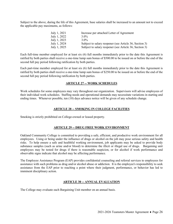Subject to the above, during the life of this Agreement, base salaries shall be increased to an amount not to exceed the applicable pay maximums, as follows:

| July 1, 2021 | Increase per attached Letter of Agreement              |
|--------------|--------------------------------------------------------|
| July 1, 2022 | $3.0\%$                                                |
| July 1, 2023 | $3.0\%$                                                |
| July 1, 2024 | Subject to salary reopener (see Article 36, Section 3) |
| July 1, 2025 | Subject to salary reopener (see Article 36, Section 3) |

Each full-time member employed for at least six (6) full months immediately prior to the date this Agreement is ratified by both parties shall receive a one-time lump sum bonus of \$500.00 to be issued on or before the end of the second full pay period following ratification by both parties.

Each part-time member employed for at least six (6) full months immediately prior to the date this Agreement is ratified by both parties shall receive a one-time lump sum bonus of \$250.00 to be issued on or before the end of the second full pay period following ratification by both parties.

#### **ARTICLE 27 -- WORK SCHEDULES**

Work schedules for some employees may vary throughout our organization. Supervisors will advise employees of their individual work schedules. Staffing needs and operational demands may necessitate variations in starting and ending times. Whenever possible, ten (10) days advance notice will be given of any schedule change.

#### **ARTICLE 28 -- SMOKING IN COLLEGE FACILITIES**

Smoking is strictly prohibited on College-owned or leased property.

#### **ARTICLE 29 -- DRUG FREE WORK ENVIRONMENT**

Oakland Community College is committed to providing a safe, efficient, and productive work environment for all employees. Using or being under the influence of drugs or alcohol on the job may pose serious safety and health risks. To help ensure a safe and healthful working environment, job applicants may be asked to provide body substance samples (such as urine and/or blood) to determine the illicit or illegal use of drugs. Bargaining unit employees may be tested for drugs if there is reasonable suspicion, or for alcohol if work performance and observable signs indicate that alcohol may be affecting performance.

The Employee Assistance Program (EAP) provides confidential counseling and referral services to employees for assistance with such problems as drug and/or alcohol abuse or addiction. It is the employee's responsibility to seek assistance from the EAP prior to reaching a point where their judgment, performance, or behavior has led to imminent disciplinary action.

#### **ARTICLE 30 -- ANNUAL EVALUATION**

The College may evaluate each Bargaining Unit member on an annual basis.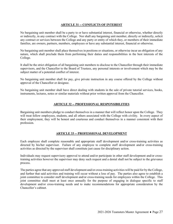# **ARTICLE 31 -- CONFLICTS OF INTEREST**

No bargaining unit member shall be a party to or have substantial interest, financial or otherwise, whether directly or indirectly, in any contract with the College. Nor shall any bargaining unit member, directly or indirectly, solicit any contract or services between the College and any party or entity of which they, or members of their immediate families, are owners, partners, members, employees or have any substantial interest, financial or otherwise.

No bargaining unit member shall place themselves in positions or situations, or otherwise incur an obligation of any nature, which shall preclude them from performing their duties and responsibilities in the best interests of the College.

It shall be the strict obligation of all bargaining unit members to disclose to the Chancellor through their immediate supervisors, and the Chancellor to the Board of Trustees, any personal interests or involvement which may be the subject matter of a potential conflict of interest.

No bargaining unit member shall for pay, give private instruction in any course offered by the College without approval of the Chancellor or designee.

No bargaining unit member shall have direct dealing with students in the sale of private tutorial services, books, instruments, lectures, notes or similar materials without prior written approval from the Chancellor.

# **ARTICLE 32 -- PROFESSIONAL RESPONSIBILITIES**

Bargaining unit members pledge to conduct themselves in a manner that will reflect honor upon the College. They will treat fellow employees, students, and all others associated with the College with civility. In every aspect of their employment, they will be honest and courteous and conduct themselves in a manner consistent with their profession.

#### **ARTICLE 33 -- PROFESSIONAL DEVELOPMENT**

Each employee shall complete reasonable and appropriate staff development and/or cross-training activities as directed by his/her supervisor. Failure of any employee to complete staff development and/or cross-training activities as directed by the supervisor shall constitute just cause for disciplinary action.

Individuals may request supervisory approval to attend and/or participate in other staff development and/or crosstraining activities however the supervisor may deny such request and a denial shall not be subject to the grievance process.

The parties agree that any approved staff development and/or cross-training activities will be paid for by the College, and further that said activities and training will occur without a loss of pay. The parties also agree to establish a joint committee to consider staff development and/or cross-training needs for employees within the College. This joint committee shall meet at least once annually for the purpose of engaging in dialogue specific to staff development and/or cross-training needs and to make recommendations for appropriate consideration by the Chancellor's cabinet.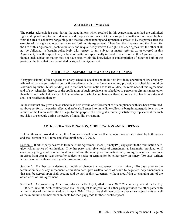# **ARTICLE 34 -- WAIVER**

The parties acknowledge that, during the negotiations which resulted in this Agreement, each had the unlimited right and opportunity to make demands and proposals with respect to any subject or matter not removed by law from the area of collective bargaining, and that the understanding and agreements arrived at by the parties after the exercise of that right and opportunity are set forth in this Agreement. Therefore, the Employer and the Union, for the life of this Agreement, each voluntarily and unqualifiedly waives the right, and each agrees that the other shall not be obligated, to bargain collectively with respect to any subject or matter referred to, or covered in this Agreement, or with respect to any subject or matter not specifically referred to or covered in this Agreement, even though such subject or matter may not have been within the knowledge or contemplation of either or both of the parties at the time that they negotiated or signed this Agreement.

#### **ARTICLE 35 -- SEPARABILITY AND SAVINGS CLAUSE**

If any provision(s) of this Agreement or any schedule attached should be held invalid by operation of law or by any tribunal of competent jurisdiction, or if compliance with or enforcement of any provision or schedule should be restrained by such tribunal pending and in the final determination as to its validity, the remainder of this Agreement and of any schedules thereto, or the application of such provisions or schedules to persons or circumstances other than those as to which it has been held invalid or as to which compliance with or enforcement of has been restrained shall not be affected thereby.

In the event that any provision or schedule is held invalid or enforcement of or compliance with has been restrained, as above set forth, the parties affected thereby shall enter into immediate collective bargaining negotiations, on the request of the Union and/or the College, for the purpose of arriving at a mutually satisfactory replacement for such provision or schedule during the period of invalidity or restraint.

# **ARTICLE 36 -- TERMINATION, MODIFICATION AND REOPENER**

Unless otherwise provided herein, this Agreement shall become effective upon formal ratification by both parties and shall remain in full force and effect until June 30, 2026.

Section 1. If either party desires to terminate this Agreement, it shall, ninety (90) days prior to the termination date, give written notice of termination. If neither party shall give notice of amendment as hereinafter provided, or if each party giving a notice of termination withdraws the same prior termination date, this Agreement shall continue in effect from year to year thereafter subject to notice of termination by either party on ninety (90) days' written notice prior to the then current year's termination date.

Section 2. If either party desires to modify or change this Agreement, it shall, ninety (90) days prior to the termination date or any subsequent termination date, give written notice of desire to negotiate. Any amendments that may be agreed upon shall become and be part of this Agreement without modifying or changing any of the other terms of this Agreement.

Section 3. As provided by Article 26, salaries for the July 1, 2024 to June 30, 2025 contract year and for the July 1, 2025 to June 30, 2026 contract year shall be subject to negotiation if either party provides the other party with written notice of their intent to do so in April 2024. The parties shall then bargain over salary adjustments as well as the minimum and maximum amounts for each pay grade for those contract years.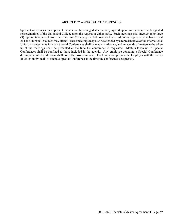#### **ARTICLE 37 -- SPECIAL CONFERENCES**

Special Conferences for important matters will be arranged at a mutually agreed upon time between the designated representatives of the Union and College upon the request of either party. Such meetings shall involve up to three (3) representatives each from the Union and College, provided however that an additional representative from Local 214 and Human Resources may attend. These meetings may also be attended by a representative of the International Union. Arrangements for such Special Conferences shall be made in advance, and an agenda of matters to be taken up at the meetings shall be presented at the time the conference is requested. Matters taken up in Special Conferences shall be confined to those included in the agenda. Any employee attending a Special Conference during scheduled work hours shall not suffer loss of income. The Union will provide the Employer with the names of Union individuals to attend a Special Conference at the time the conference is requested.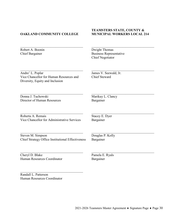# **OAKLAND COMMUNITY COLLEGE MUNICIPAL WORKERS LOCAL 214**

# **TEAMSTERS STATE, COUNTY &**

Robert A. Boonin Dwight Thomas

Chief Bargainer Business Representative Chief Negotiator

\_\_\_\_\_\_\_\_\_\_\_\_\_\_\_\_\_\_\_\_\_\_\_\_\_\_\_\_\_\_\_\_\_\_\_\_\_ \_\_\_\_\_\_\_\_\_\_\_\_\_\_\_\_\_\_\_\_\_\_\_\_\_\_\_\_\_\_\_\_\_\_\_\_\_

\_\_\_\_\_\_\_\_\_\_\_\_\_\_\_\_\_\_\_\_\_\_\_\_\_\_\_\_\_\_\_\_\_\_\_\_\_ \_\_\_\_\_\_\_\_\_\_\_\_\_\_\_\_\_\_\_\_\_\_\_\_\_\_\_\_\_\_\_\_\_\_\_\_\_ Andre' L. Poplar James V. Seewald, Jr.<br>Vice Chancellor for Human Resources and Chief Steward Vice Chancellor for Human Resources and Diversity, Equity and Inclusion

Donna J. Tuchowski Marikay L. Clancy Director of Human Resources Bargainer

Roberta A. Remais Stacey E. Dyer Vice Chancellor for Administrative Services Bargainer

Steven M. Simpson Douglas P. Kolly Chief Strategy Office Institutional Effectiveness Bargainer

Cheryl D. Blake Pamela E. Ryals<br>Human Resources Coordinator Bargainer Human Resources Coordinator

Randall L. Patterson Human Resources Coordinator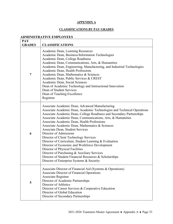# **APPENDIX A**

# **CLASSIFICATIONS BY PAY GRADES**

# **ADMINISTRATIVE EMPLOYEES**

| <b>PAY</b><br><b>GRADES</b> | <b>CLASSIFICATIONS</b>                                                                                                                                                                                                                                                                                                                                                                                                                                                                                                                                                                                                                                                                                                                                                           |
|-----------------------------|----------------------------------------------------------------------------------------------------------------------------------------------------------------------------------------------------------------------------------------------------------------------------------------------------------------------------------------------------------------------------------------------------------------------------------------------------------------------------------------------------------------------------------------------------------------------------------------------------------------------------------------------------------------------------------------------------------------------------------------------------------------------------------|
| 7                           | Academic Dean, Learning Resources<br>Academic Dean, Business/Information Technologies<br>Academic Dean, College Readiness<br>Academic Dean, Communications, Arts, & Humanities<br>Academic Dean, Engineering, Manufacturing, and Industrial Technologies<br>Academic Dean, Health Professions<br>Academic Dean, Mathematics & Sciences<br>Academic Dean, Public Services & CREST<br>Academic Dean, Social Sciences<br>Dean of Academic Technology and Instructional Innovation<br>Dean of Student Services<br>Dean of Teaching Excellence<br>Registrar                                                                                                                                                                                                                           |
| 6                           | Associate Academic Dean, Advanced Manufacturing<br>Associate Academic Dean, Academic Technologies and Technical Operations<br>Associate Academic Dean, College Readiness and Secondary Partnerships<br>Associate Academic Dean, Communications, Arts, & Humanities<br>Associate Academic Dean, Health Professions<br>Associate Academic Dean, Mathematics & Sciences<br>Associate Dean, Student Services<br>Director of Admissions<br>Director of Client Technology Services<br>Director of Curriculum, Student Learning & Evaluation<br>Director of Economic and Workforce Development<br>Director of Physical Facilities<br>Director of Purchasing & Auxiliary Services<br>Director of Student Financial Resources & Scholarships<br>Director of Enterprise Systems & Security |
| 5                           | Associate Director of Financial Aid (Systems & Operations)<br>Associate Director of Financial Operations<br>Associate Registrar<br>Director of Academic Partnerships<br>Director of Athletics<br>Director of Career Services & Cooperative Education<br>Director of Global Education<br>Director of Secondary Partnerships                                                                                                                                                                                                                                                                                                                                                                                                                                                       |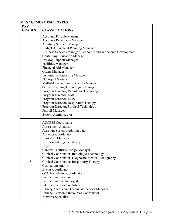# **MANAGEMENT EMPLOYEES**

| <b>PAY</b><br><b>GRADES</b> | <b>CLASSIFICATIONS</b>                                                                                                                                                                                                                                                                                                                                                                                                                                                                                                                                                                                                                                                                                                                                      |
|-----------------------------|-------------------------------------------------------------------------------------------------------------------------------------------------------------------------------------------------------------------------------------------------------------------------------------------------------------------------------------------------------------------------------------------------------------------------------------------------------------------------------------------------------------------------------------------------------------------------------------------------------------------------------------------------------------------------------------------------------------------------------------------------------------|
| $\overline{\mathbf{4}}$     | <b>Accounts Payable Manager</b><br><b>Accounts Receivable Manager</b><br><b>Auxiliary Services Manager</b><br>Budget & Financial Planning Manager<br>Business Services Manager, Economic and Workforce Development<br><b>Continuing Education Manager</b><br>Desktop Support Manager<br><b>Facilities Manager</b><br>Financial Aid Manager<br><b>Grants Manager</b><br><b>Institutional Reporting Manager</b><br><b>IT Project Manager</b><br>Multi-Media and Web Services Manager<br><b>Online Learning Technologies Manager</b><br>Program Director, Radiologic Technology<br>Program Director, DMS<br>Program Director, EMS<br>Program Director, Respiratory Therapy<br>Program Director, Surgical Technology<br>Payroll Manager<br>System Administrator |
| 3                           | <b>ACCESS Coordinator</b><br><b>Assessment Analyst</b><br><b>Assistant Systems Administrator</b><br><b>Athletics Coordinator</b><br><b>Bookstore Manager</b><br><b>Business Intelligence Analyst</b><br>Buyer<br><b>Campus Facilities/Energy Manager</b><br>Clinical Coordinator, Radiologic Technology<br>Clinical Coordinator, Diagnostic Medical Sonography<br>Clinical Coordinator, Respiratory Therapy<br><b>Curriculum Analyst</b><br><b>Events Coordinator</b><br><b>OCC Foundation Coordinator</b><br><b>Instructional Designer</b><br><b>Instructional Technologist</b><br><b>International Student Advisor</b><br>Library Access and Technical Services Manager<br>Library Electronic Resources Coordinator<br>Network Specialist                 |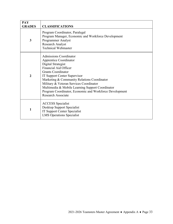| <b>PAY</b><br><b>GRADES</b> | <b>CLASSIFICATIONS</b>                                                                                                                                                                                                                                                                                                                                                                             |
|-----------------------------|----------------------------------------------------------------------------------------------------------------------------------------------------------------------------------------------------------------------------------------------------------------------------------------------------------------------------------------------------------------------------------------------------|
| 3                           | Program Coordinator, Paralegal<br>Program Manager, Economic and Workforce Development<br><b>Programmer Analyst</b><br>Research Analyst<br><b>Technical Webmaster</b>                                                                                                                                                                                                                               |
| $\overline{2}$              | <b>Admissions Coordinator</b><br>Apprentice Coordinator<br>Digital Strategist<br>Financial Aid Officer<br><b>Grants Coordinator</b><br>IT Support Center Supervisor<br>Marketing & Community Relations Coordinator<br>Military & Veteran Services Coordinator<br>Multimedia & Mobile Learning Support Coordinator<br>Program Coordinator, Economic and Workforce Development<br>Research Associate |
| 1                           | <b>ACCESS</b> Specialist<br>Desktop Support Specialist<br>IT Support Center Specialist<br><b>LMS Operations Specialist</b>                                                                                                                                                                                                                                                                         |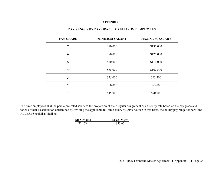#### **APPENDIX B**

| <b>PAY GRADE</b>        | <b>MINIMUM SALARY</b> | <b>MAXIMUM SALARY</b> |
|-------------------------|-----------------------|-----------------------|
| 7                       | \$90,000              | \$135,000             |
| 6                       | \$80,000              | \$125,000             |
| 5                       | \$70,000              | \$110,000             |
| $\overline{\mathbf{4}}$ | \$65,000              | \$102,500             |
| 3                       | \$55,000              | \$92,500              |
| 2                       | \$50,000              | \$85,000              |
| 1                       | \$45,000              | \$70,000              |

## **PAY RANGES BY PAY GRADE** FOR FULL-TIME EMPLOYEES

Part-time employees shall be paid a pro-rated salary to the proportion of their regular assignment or an hourly rate based on the pay grade and range of their classification determined by dividing the applicable full-time salary by 2080 hours. On this basis, the hourly pay range for part-time ACCESS Specialists shall be:

| <b>MINIMUM</b> | <b>MAXIMUM</b> |
|----------------|----------------|
| \$21.63        | \$33.65        |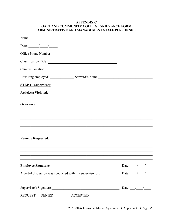# **APPENDIX C** OAKLAND COMMUNITY COLLEGEGRIEVANCE FORM ADMINISTRATIVE AND MANAGEMENT STAFF PERSONNEL

| Name                                                                                                                                                                                                                                                                                                                                                                                                                     |                                        |
|--------------------------------------------------------------------------------------------------------------------------------------------------------------------------------------------------------------------------------------------------------------------------------------------------------------------------------------------------------------------------------------------------------------------------|----------------------------------------|
| Date: $\frac{1}{\sqrt{1-\frac{1}{2}}}\frac{1}{\sqrt{1-\frac{1}{2}}}\frac{1}{\sqrt{1-\frac{1}{2}}}\frac{1}{\sqrt{1-\frac{1}{2}}}\frac{1}{\sqrt{1-\frac{1}{2}}}\frac{1}{\sqrt{1-\frac{1}{2}}}\frac{1}{\sqrt{1-\frac{1}{2}}}\frac{1}{\sqrt{1-\frac{1}{2}}}\frac{1}{\sqrt{1-\frac{1}{2}}}\frac{1}{\sqrt{1-\frac{1}{2}}}\frac{1}{\sqrt{1-\frac{1}{2}}}\frac{1}{\sqrt{1-\frac{1}{2}}}\frac{1}{\sqrt{1-\frac{1}{2}}}\frac{1}{\$ |                                        |
| Office Phone Number                                                                                                                                                                                                                                                                                                                                                                                                      |                                        |
| Classification Title                                                                                                                                                                                                                                                                                                                                                                                                     |                                        |
|                                                                                                                                                                                                                                                                                                                                                                                                                          |                                        |
|                                                                                                                                                                                                                                                                                                                                                                                                                          |                                        |
| <b>STEP 1 - Supervisory</b>                                                                                                                                                                                                                                                                                                                                                                                              |                                        |
| <b>Article(s) Violated:</b>                                                                                                                                                                                                                                                                                                                                                                                              |                                        |
|                                                                                                                                                                                                                                                                                                                                                                                                                          |                                        |
|                                                                                                                                                                                                                                                                                                                                                                                                                          |                                        |
|                                                                                                                                                                                                                                                                                                                                                                                                                          |                                        |
|                                                                                                                                                                                                                                                                                                                                                                                                                          |                                        |
| <b>Remedy Requested:</b>                                                                                                                                                                                                                                                                                                                                                                                                 |                                        |
|                                                                                                                                                                                                                                                                                                                                                                                                                          |                                        |
|                                                                                                                                                                                                                                                                                                                                                                                                                          |                                        |
| Employee Signature                                                                                                                                                                                                                                                                                                                                                                                                       | Date: $\frac{1}{\sqrt{1-\frac{1}{2}}}$ |
| A verbal discussion was conducted with my supervisor on:                                                                                                                                                                                                                                                                                                                                                                 | Date: $\frac{1}{\sqrt{2\pi}}$          |
|                                                                                                                                                                                                                                                                                                                                                                                                                          |                                        |
| REQUEST: DENIED ________ ACCEPTED______                                                                                                                                                                                                                                                                                                                                                                                  |                                        |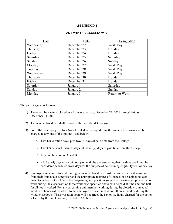#### **APPENDIX D-1**

#### **2021 WINTER CLOSEDOWN**

| Day       | Date        | Designation     |
|-----------|-------------|-----------------|
| Wednesday | December 22 | Work Day        |
| Thursday  | December 23 | Holiday         |
| Friday    | December 24 | Holiday         |
| Saturday  | December 25 | Saturday        |
| Sunday    | December 26 | Sunday          |
| Monday    | December 27 | <b>Work Day</b> |
| Tuesday   | December 28 | Work Day        |
| Wednesday | December 29 | Work Day        |
| Thursday  | December 30 | Holiday         |
| Friday    | December 31 | Holiday         |
| Saturday  | January 1   | Saturday        |
| Sunday    | January 2   | Sunday          |
| Monday    | January 3   | Return to Work  |

The parties agree as follows:

- 1) There will be a winter closedown from Wednesday, December 22, 2021 through Friday, December 31, 2021.
- 2) The winter closedown shall consist of the calendar dates above.
- 3) For full-time employees, four (4) scheduled work days during the winter closedown shall be charged to any one of the options listed below:
	- A. Two (2) vacation days, plus two (2) days of paid time from the College
	- B. Two (2) personal business days, plus two (2) days of paid time from the College
	- C. Any combination of A and B
	- D. All four (4) days taken without pay, with the understanding that the days would not be considered scheduled work days for the purpose of determining eligibility for holiday pay
- 4) Employees scheduled to work during the winter closedown must receive written authorization from their immediate supervisor and the appropriate member of Chancellor's Cabinet no later than December 1 of each year. For bargaining unit positions subject to overtime, employees who work during the closedown on those work days specified above will be paid at time-and-one-half for all hours worked. For any bargaining unit member working during the closedown, an equal number of hours will be added to the employee's vacation bank for all hours worked during the winter closedown. These vacation hours will not affect the pay or the hours charged for the option selected by the employee as provided in #3 above.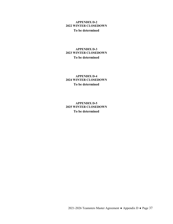# **APPENDIX D-2 2022 WINTER CLOSEDOWN To be determined**

# **APPENDIX D-3 2023 WINTER CLOSEDOWN To be determined**

# **APPENDIX D-4 2024 WINTER CLOSEDOWN To be determined**

# **APPENDIX D-5 2025 WINTER CLOSEDOWN To be determined**

2021-2026 Teamsters Master Agreement ♦ Appendix D ♦ Page 37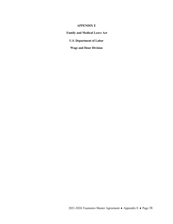# **APPENDIX E**

**Family and Medical Leave Act**

**U.S. Department of Labor**

**Wage and Hour Division**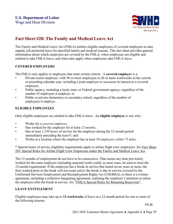

# **Fact Sheet #28: The Family and Medical Leave Act**

The Family and Medical Leave Act (FMLA) entitles eligible employees of covered employers to take unpaid, job-protected leave for specified family and medical reasons. This fact sheet provides general information about which employers are covered by the FMLA, when employees are eligible and entitled to take FMLA leave, and what rules apply when employees take FMLA leave.

# **COVERED EMPLOYERS**

The FMLA only applies to employers that meet certain criteria. A **covered employer** is a:

- Private-sector employer, with 50 or more employees in 20 or more workweeks in the current or preceding calendar year, including a joint employer or successor in interest to a covered employer;
- Public agency, including a local, state, or Federal government agency, regardless of the number of employees it employs; or
- Public or private elementary or secondary school, regardless of the number of employees it employs.

# **ELIGIBLE EMPLOYEES**

Only eligible employees are entitled to take FMLA leave. An **eligible employee** is one who:

- Works for a *covered employer*;
- Has worked for the employer for at least *12 months*;
- Has at least *1,250 hours* of service for the employer during the 12 month period immediately preceding the leave\*; and
- Works at a location where the employer has at least *50 employees within 75 miles*.

\* Special hours of service eligibility requirements apply to airline flight crew employees. *See* Fact [Sheet](http://www.dol.gov/whd/regs/compliance/whdfs28j.htm) 28J: Special Rules for Airline Flight Crew [Employees under](http://www.dol.gov/whd/regs/compliance/whdfs28j.htm) the Family and Medical Leave Act.

The 12 months of employment do not have to be consecutive. That means any time previously worked for the same employer (including seasonal work) could, in most cases, be used to meet the 12-month requirement. If the employee has a break in service that lasted seven years or more, the time worked prior to the break will not count *unless* the break is due to service covered by the Uniformed Services Employment and Reemployment Rights Act (USERRA), or there is a written agreement, including a collective bargaining agreement, outlining the employer's intention to rehire the employee after the break in service. *See* ["FMLA Special Rules for](http://www.dol.gov/whd/fmla/userra.htm) Returning Reservists".

# **LEAVE ENTITLEMENT**

Eligible employees may take up to **12 workweeks** of leave in a 12-month period for one or more of the following reasons: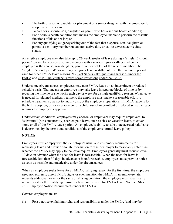- The birth of a son or daughter or placement of a son or daughter with the employee for adoption or foster care;
- To care for a spouse, son, daughter, or parent who has a serious health condition;
- For a serious health condition that makes the employee unable to perform the essential functions of his or her job; or
- For any qualifying exigency arising out of the fact that a spouse, son, daughter, or parent is a military member on covered active duty or call to covered active duty status.

An eligible employee may also take up to **26 work weeks** of leave during a "single 12-month period" to care for a covered service member with a serious injury or illness, when the employee is the spouse, son, daughter, parent, or next of kin of the service member. The "single 12-month period" for military caregiver leave is different from the 12-month period used for other FMLA leave reasons. *See* [Fact](http://www.dol.gov/whd/regs/compliance/whdfs28f.htm) [Sheets 28F: Qualifying](http://www.dol.gov/whd/regs/compliance/whdfs28f.htm) Reasons under the [FMLA](http://www.dol.gov/whd/regs/compliance/whdfs28f.htm) and 28M: The Military Family Leave [Provisions](http://www.dol.gov/whd/regs/compliance/whdfs28m.htm) under the [FMLA.](http://www.dol.gov/whd/regs/compliance/whdfs28m.htm)

Under some circumstances, employees may take FMLA leave on an intermittent or reduced schedule basis. That means an employee may take leave in separate blocks of time or by reducing the time he or she works each day or week for a single qualifying reason. When leave is needed for planned medical treatment, the employee must make a reasonable effort to schedule treatment so as not to unduly disrupt the employer's operations. If FMLA leave is for the birth, adoption, or foster placement of a child, use of intermittent or reduced schedule leave requires the employer's approval.

Under certain conditions, employees may choose, or employers may require employees, to "substitute" (run concurrently) accrued paid leave, such as sick or vacation leave, to cover some or all of the FMLA leave period. An employee's ability to substitute accrued paid leave is determined by the terms and conditions of the employer's normal leave policy.

# **NOTICE**

Employees must comply with their employer's usual and customary requirements for requesting leave and provide enough information for their employer to reasonably determine whether the FMLA may apply to the leave request. Employees generally must request leave 30 days in advance when the need for leave is foreseeable. When the need for leave is foreseeable less than 30 days in advance or is unforeseeable, employees must provide notice as soon as possible and practicable under the circumstances.

When an employee seeks leave for a FMLA-qualifying reason for the first time, the employee need not expressly assert FMLA rights or even mention the FMLA. If an employee later requests additional leave for the same qualifying condition, the employee must specifically reference either the qualifying reason for leave or the need for FMLA leave. *See* [Fact Sheet](http://www.dol.gov/whd/regs/compliance/whdfs28e.htm)  28E: Employee Notice [Requirements under](http://www.dol.gov/whd/regs/compliance/whdfs28e.htm) the [FMLA](http://www.dol.gov/whd/regs/compliance/whdfs28e.htm).

Covered employers must:

(1) Post a notice explaining rights and responsibilities under the FMLA (and may be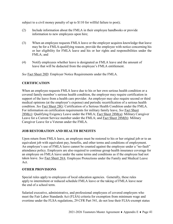subject to a civil money penalty of up to \$110 for willful failure to post);

- (2) Include information about the FMLA in their employee handbooks or provide information to new employees upon hire;
- (3) When an employee requests FMLA leave or the employer acquires knowledge that leave may be for a FMLA-qualifying reason, provide the employee with notice concerning his or her eligibility for FMLA leave and his or her rights and responsibilities under the FMLA; and
- (4) Notify employees whether leave is designated as FMLA leave and the amount of leave that will be deducted from the employee's FMLA entitlement.

*See* Fact Sheet 28D: Employer Notice [Requirements under](http://www.dol.gov/whd/regs/compliance/whdfs28d.htm) the FMLA.

# **CERTIFICATION**

When an employee requests FMLA leave due to his or her own serious health condition or a covered family member's serious health condition, the employer may require certification in support of the leave from a health care provider. An employer may also require second or third medical opinions (at the employer's expense) and periodic recertification of a serious health condition. *See* Fact [Sheet](http://www.dol.gov/whd/regs/compliance/whdfs28g.htm) 28G: Certification of a Serious Health Condition under the FMLA. For information on certification requirements for military family leave, *See* Fact [Sheet](http://www.dol.gov/whd/regs/compliance/whdfs28mc.htm) [28M\(c\):](http://www.dol.gov/whd/regs/compliance/whdfs28mc.htm) Qualifying Exigency Leave under the FMLA; Fact Sheet [28M\(a\):](http://www.dol.gov/whd/regs/compliance/whdfs28ma.htm) Military Caregiver Leave for a Current Service member under the FMLA; and [Fact Sheet 28M\(b\):](http://www.dol.gov/whd/regs/compliance/whdfs28mb.htm) Military Caregiver Leave for a Veteran under the FMLA.

# **JOB RESTORATION AND HEALTH BENEFITS**

Upon return from FMLA leave, an employee must be restored to his or her original job or to an equivalent job with equivalent pay, benefits, and other terms and conditions of employment. An employee's use of FMLA leave cannot be counted against the employee under a "no-fault" attendance policy. Employers are also required to continue group health insurance coverage for an employee on FMLA leave under the same terms and conditions as if the employee had not taken leave. *See* Fact [Sheet](http://www.dol.gov/whd/regs/compliance/whdfs28a.htm) [28A: Employee](http://www.dol.gov/whd/regs/compliance/whdfs28a.htm) Protections under the Family and Medical Leave [Act](http://www.dol.gov/whd/regs/compliance/whdfs28a.htm).

# **OTHER PROVISIONS**

Special rules apply to employees of local education agencies. Generally, these rules apply to intermittent or reduced schedule FMLA leave or the taking of FMLA leave near the end of a school term.

Salaried executive, administrative, and professional employees of covered employers who meet the Fair Labor Standards Act (FLSA) criteria for exemption from minimum wage and overtime under the FLSA regulations, 29 CFR Part 541, do not lose their FLSA-exempt status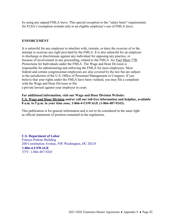by using any unpaid FMLA leave. This special exception to the "salary basis" requirements for FLSA's exemption extends only to an eligible employee's use of FMLA leave.

# **ENFORCEMENT**

It is unlawful for any employer to interfere with, restrain, or deny the exercise of or the attempt to exercise any right provided by the FMLA. It is also unlawful for an employer to discharge or discriminate against any individual for opposing any practice, or because of involvement in any proceeding, related to the FMLA. *See* Fact [Sheet](http://www.dol.gov/whd/regs/compliance/whdfs77b.htm) 77B: Protections for [Individuals under](http://www.dol.gov/whd/regs/compliance/whdfs77b.htm) the FMLA. The Wage and Hour Division is responsible for administering and enforcing the FMLA for most employees. Most federal and certain congressional employees are also covered by the law but are subject to the jurisdiction of the U.S. Office of Personnel Management or Congress. If you believe that your rights under the FMLA have been violated, you may file a complaint with the Wage and Hour Division or file

a private lawsuit against your employer in court.

# **For additional information, visit our Wage and Hour Division Website: [U.S. Wage and Hour Division](http://www.wagehour.dol.gov/) and/or call our toll-free information and helpline, available 8 a.m. to 5 p.m. in your time zone, 1-866-4-USWAGE (1-866-487-9243).**

This publication is for general information and is not to be considered in the same light as official statements of position contained in the regulations.

**U.S. Department of Labor** Frances Perkins Building 200 Constitution Avenue, NW Washington, DC 20210  **1-866-4-USWAGE** TTY: 1-866-487-9243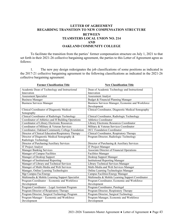# **LETTER OF AGREEMENT REGARDING TRANSITION TO NEW COMPENSATION STRUCTURE BETWEEN TEAMSTERS LOCAL UNION NO. 214 AND OAKLAND COMMUNITY COLLEGE**

To facilitate the transition from the parties' former compensation structure on July 1, 2021 to that set forth in their 2021-26 collective bargaining agreement, the parties to this Letter of Agreement agree as follows:

1. The new pay design redesignates the job classifications of some positions as indicated in the 2017-21 collective bargaining agreement to the following classifications as indicated in the 2021-26 collective bargaining agreement:

| <u>гогшег славянсацоп типе</u>                     | <u>NEW CIASSINCATION THIE</u>                       |
|----------------------------------------------------|-----------------------------------------------------|
| Academic Dean of Technology and Instructional      | Dean of Academic Technology and Instructional       |
| Innovation                                         | Innovation                                          |
| <b>Assessment Specialist</b>                       | <b>Assessment Analyst</b>                           |
| <b>Business Manager</b>                            | Budget & Financial Planning Manager                 |
| <b>Business Services Manager</b>                   | Business Services Manager, Economic and Workforce   |
|                                                    | Development                                         |
| Clinical Coordinator of Diagnostic Medical         | Clinical Coordinator, Diagnostic Medical Sonography |
| Sonography                                         |                                                     |
| Clinical Coordinator of Radiologic Technology      | Clinical Coordinator, Radiologic Technology         |
| Coordinator of Athletics and H Building Operations | <b>Athletics Coordinator</b>                        |
| Coordinator of Library Electronic Resources        | Library Electronic Resources Coordinator            |
| Coordinator of Military & Veteran Services         | Military & Veteran Services Coordinator             |
| Coordinator, Oakland Community College Foundation  | <b>OCC Foundation Coordinator</b>                   |
| Director of Clinical Education/Respiratory Therapy | Clinical Coordinator, Respiratory Therapy           |
| Director of Diagnostic Medical Sonography &        | Program Director, Radiologic Technology             |
| Radiologic Technology                              |                                                     |
| Director of Purchasing/Auxiliary Services          | Director of Purchasing & Auxiliary Services         |
| <b>IT Project Analyst</b>                          | IT Project Manager                                  |
| <b>Manager Banking Services</b>                    | Associate Director of Financial Operations          |
| Manager of Campus Facilities                       | <b>Facilities Manager</b>                           |
| Manager of Desktop Support                         | Desktop Support Manager                             |
| Manager of Institutional Reporting                 | <b>Institutional Reporting Manager</b>              |
| Manager of Library and Technical Services          | Library Technical Services Manager                  |
| Manager of Multi-Media and Web Services            | Multi-Media and Web Services Manager                |
| Manager, Online Learning Technologies              | Online Learning Technologies Manager                |
| Mgr Campus Fac/Energy                              | Campus Facilities/Energy Manager                    |
| Multimedia & Mobile Learning Support Specialist    | Multimedia & Mobile Learning Support Coordinator    |
| Program Coordinator - Economic and Workforce       | Program Coordinator, Economic and Workforce         |
| Development                                        | Development                                         |
| Program Coordinator - Legal Assistant Program      | Program Coordinator, Paralegal                      |
| Program Director of Respiratory Therapy            | Program Director, Respiratory Therapy               |
| Program Director, Surgical Technology Program      | Program Director, Surgical Technology               |
| Program Manager - Economic and Workforce           | Program Manager, Economic and Workforce             |
| Development                                        | Development                                         |

# **Former Classification Title New Classification Title**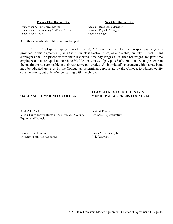| <b>Former Classification Title</b>       | <b>New Classification Title</b>    |
|------------------------------------------|------------------------------------|
| Supervisor AR & General Ledger           | <b>Accounts Receivable Manager</b> |
| Supervisor of Accounting AP/Fixed Assets | <b>Accounts Payable Manager</b>    |
| Supervisor Payroll                       | Payroll Manager                    |

All other classification titles are unchanged.

2. Employees employed as of June 30, 2021 shall be placed in their respect pay ranges as provided in this Agreement (using their new classification titles, as applicable) on July 1, 2021. Said employees shall be placed within their respective new pay ranges at salaries (or wages, for part-time employees) that are equal to their June 30, 2021 base rates of pay plus 3.0%, but in no event greater than the maximum rate applicable to their respective pay grades. An individual's placement within a pay band may be adjusted upwards by the College, as determined appropriate by the College, to address equity considerations, but only after consulting with the Union.

\_\_\_\_\_\_\_\_\_\_\_\_\_\_\_\_\_\_\_\_\_\_\_\_\_\_\_\_\_\_\_\_\_\_\_\_\_ \_\_\_\_\_\_\_\_\_\_\_\_\_\_\_\_\_\_\_\_\_\_\_\_\_\_\_\_\_\_\_\_\_\_\_\_\_

# **OAKLAND COMMUNITY COLLEGE MUNICIPAL WORKERS LOCAL 214**

# **TEAMSTERS STATE, COUNTY &**

Andre' L. Poplar Dwight Thomas Vice Chancellor for Human Resources & Diversity, Business Representative Equity, and Inclusion

**Donna J. Tuchowski** James V. Seewald, Jr. Director of Human Resources Chief Steward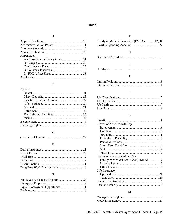# **INDEX**

# $\mathbf{A}$

| Appendices |  |
|------------|--|
|            |  |
|            |  |
|            |  |
|            |  |
|            |  |
|            |  |

# $\, {\bf B}$

| <b>Benefits</b> |  |
|-----------------|--|
|                 |  |
|                 |  |
|                 |  |
|                 |  |
|                 |  |
|                 |  |
|                 |  |
|                 |  |
|                 |  |
|                 |  |
|                 |  |

# $\mathbf C$

|--|--|--|--|

# $\mathbf{D}$

# $\bf E$

# $\mathbf{F}$

| Family & Medical Leave Act (FMLA) 12, 38 |  |  |
|------------------------------------------|--|--|
|                                          |  |  |

# $\mathbf G$

|--|

# $\mathbf H$

|--|

# $\mathbf I$

# $\bf J$

# $\mathbf L$

| Leaves of Absence with Pay           |  |
|--------------------------------------|--|
|                                      |  |
|                                      |  |
|                                      |  |
|                                      |  |
|                                      |  |
|                                      |  |
|                                      |  |
|                                      |  |
| Leaves of Absence without Pay        |  |
| Family & Medical Leave Act (FMLA) 12 |  |
|                                      |  |
|                                      |  |
| Life Insurance                       |  |
|                                      |  |
|                                      |  |
|                                      |  |
|                                      |  |

# $\mathbf{M}$